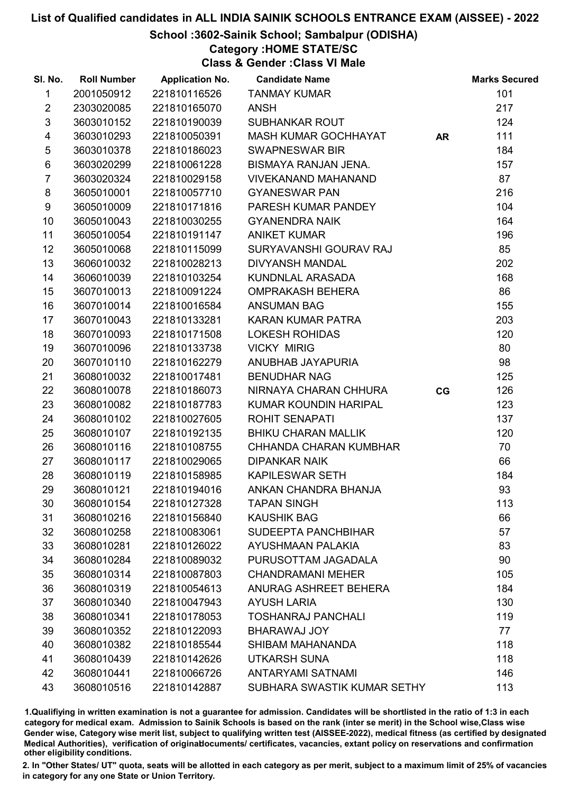#### School :3602-Sainik School; Sambalpur (ODISHA)

Category :HOME STATE/SC

Class & Gender :Class VI Male

| SI. No.        | <b>Roll Number</b> | <b>Application No.</b> | <b>Candidate Name</b>       |           | <b>Marks Secured</b> |
|----------------|--------------------|------------------------|-----------------------------|-----------|----------------------|
| 1              | 2001050912         | 221810116526           | <b>TANMAY KUMAR</b>         |           | 101                  |
| $\overline{2}$ | 2303020085         | 221810165070           | <b>ANSH</b>                 |           | 217                  |
| $\mathfrak{S}$ | 3603010152         | 221810190039           | <b>SUBHANKAR ROUT</b>       |           | 124                  |
| 4              | 3603010293         | 221810050391           | MASH KUMAR GOCHHAYAT        | <b>AR</b> | 111                  |
| $\sqrt{5}$     | 3603010378         | 221810186023           | <b>SWAPNESWAR BIR</b>       |           | 184                  |
| 6              | 3603020299         | 221810061228           | BISMAYA RANJAN JENA.        |           | 157                  |
| $\overline{7}$ | 3603020324         | 221810029158           | <b>VIVEKANAND MAHANAND</b>  |           | 87                   |
| 8              | 3605010001         | 221810057710           | <b>GYANESWAR PAN</b>        |           | 216                  |
| 9              | 3605010009         | 221810171816           | PARESH KUMAR PANDEY         |           | 104                  |
| 10             | 3605010043         | 221810030255           | <b>GYANENDRA NAIK</b>       |           | 164                  |
| 11             | 3605010054         | 221810191147           | <b>ANIKET KUMAR</b>         |           | 196                  |
| 12             | 3605010068         | 221810115099           | SURYAVANSHI GOURAV RAJ      |           | 85                   |
| 13             | 3606010032         | 221810028213           | <b>DIVYANSH MANDAL</b>      |           | 202                  |
| 14             | 3606010039         | 221810103254           | KUNDNLAL ARASADA            |           | 168                  |
| 15             | 3607010013         | 221810091224           | <b>OMPRAKASH BEHERA</b>     |           | 86                   |
| 16             | 3607010014         | 221810016584           | <b>ANSUMAN BAG</b>          |           | 155                  |
| 17             | 3607010043         | 221810133281           | KARAN KUMAR PATRA           |           | 203                  |
| 18             | 3607010093         | 221810171508           | <b>LOKESH ROHIDAS</b>       |           | 120                  |
| 19             | 3607010096         | 221810133738           | <b>VICKY MIRIG</b>          |           | 80                   |
| 20             | 3607010110         | 221810162279           | ANUBHAB JAYAPURIA           |           | 98                   |
| 21             | 3608010032         | 221810017481           | <b>BENUDHAR NAG</b>         |           | 125                  |
| 22             | 3608010078         | 221810186073           | NIRNAYA CHARAN CHHURA       | CG        | 126                  |
| 23             | 3608010082         | 221810187783           | KUMAR KOUNDIN HARIPAL       |           | 123                  |
| 24             | 3608010102         | 221810027605           | <b>ROHIT SENAPATI</b>       |           | 137                  |
| 25             | 3608010107         | 221810192135           | <b>BHIKU CHARAN MALLIK</b>  |           | 120                  |
| 26             | 3608010116         | 221810108755           | CHHANDA CHARAN KUMBHAR      |           | 70                   |
| 27             | 3608010117         | 221810029065           | <b>DIPANKAR NAIK</b>        |           | 66                   |
| 28             | 3608010119         | 221810158985           | <b>KAPILESWAR SETH</b>      |           | 184                  |
| 29             | 3608010121         | 221810194016           | ANKAN CHANDRA BHANJA        |           | 93                   |
| 30             | 3608010154         | 221810127328           | <b>TAPAN SINGH</b>          |           | 113                  |
| 31             | 3608010216         | 221810156840           | <b>KAUSHIK BAG</b>          |           | 66                   |
| 32             | 3608010258         | 221810083061           | SUDEEPTA PANCHBIHAR         |           | 57                   |
| 33             | 3608010281         | 221810126022           | <b>AYUSHMAAN PALAKIA</b>    |           | 83                   |
| 34             | 3608010284         | 221810089032           | PURUSOTTAM JAGADALA         |           | 90                   |
| 35             | 3608010314         | 221810087803           | <b>CHANDRAMANI MEHER</b>    |           | 105                  |
| 36             | 3608010319         | 221810054613           | ANURAG ASHREET BEHERA       |           | 184                  |
| 37             | 3608010340         | 221810047943           | <b>AYUSH LARIA</b>          |           | 130                  |
| 38             | 3608010341         | 221810178053           | <b>TOSHANRAJ PANCHALI</b>   |           | 119                  |
| 39             | 3608010352         | 221810122093           | BHARAWAJ JOY                |           | 77                   |
| 40             | 3608010382         | 221810185544           | SHIBAM MAHANANDA            |           | 118                  |
| 41             | 3608010439         | 221810142626           | <b>UTKARSH SUNA</b>         |           | 118                  |
| 42             | 3608010441         | 221810066726           | <b>ANTARYAMI SATNAMI</b>    |           | 146                  |
| 43             | 3608010516         | 221810142887           | SUBHARA SWASTIK KUMAR SETHY |           | 113                  |

1.Qualifiying in written examination is not a guarantee for admission. Candidates will be shortlisted in the ratio of 1:3 in each category for medical exam. Admission to Sainik Schools is based on the rank (inter se merit) in the School wise,Class wise Gender wise, Category wise merit list, subject to qualifying written test (AISSEE-2022), medical fitness (as certified by designated Medical Authorities), verification of originablocuments/ certificates, vacancies, extant policy on reservations and confirmation other eligibility conditions.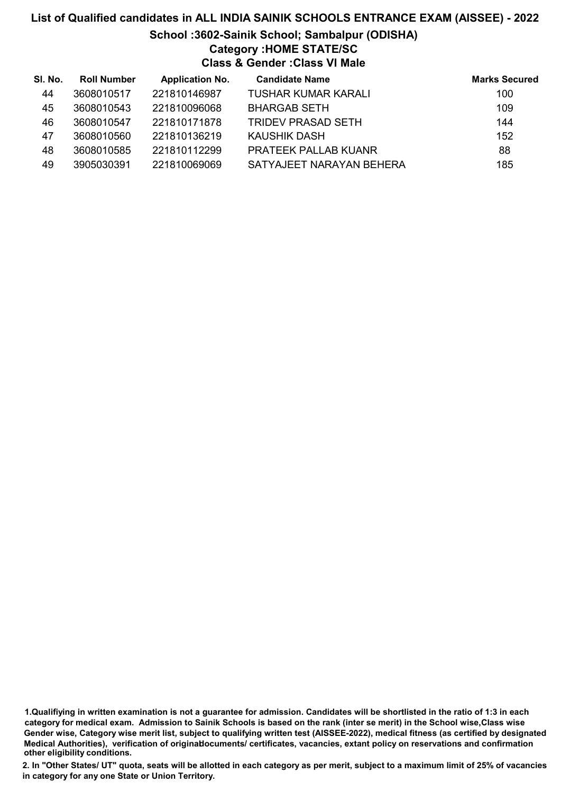# List of Qualified candidates in ALL INDIA SAINIK SCHOOLS ENTRANCE EXAM (AISSEE) - 2022 School :3602-Sainik School; Sambalpur (ODISHA) Category :HOME STATE/SC Class & Gender :Class VI Male

| SI. No. | <b>Roll Number</b> | <b>Application No.</b> | <b>Candidate Name</b>       | <b>Marks Secured</b> |
|---------|--------------------|------------------------|-----------------------------|----------------------|
| 44      | 3608010517         | 221810146987           | TUSHAR KUMAR KARALI         | 100                  |
| 45      | 3608010543         | 221810096068           | <b>BHARGAB SETH</b>         | 109                  |
| 46      | 3608010547         | 221810171878           | <b>TRIDEV PRASAD SETH</b>   | 144                  |
| 47      | 3608010560         | 221810136219           | KAUSHIK DASH                | 152                  |
| 48      | 3608010585         | 221810112299           | <b>PRATEEK PALLAB KUANR</b> | 88                   |
| 49      | 3905030391         | 221810069069           | SATYAJEET NARAYAN BEHERA    | 185                  |

<sup>1.</sup>Qualifiying in written examination is not a guarantee for admission. Candidates will be shortlisted in the ratio of 1:3 in each category for medical exam. Admission to Sainik Schools is based on the rank (inter se merit) in the School wise,Class wise Gender wise, Category wise merit list, subject to qualifying written test (AISSEE-2022), medical fitness (as certified by designated Medical Authorities), verification of originablocuments/ certificates, vacancies, extant policy on reservations and confirmation other eligibility conditions.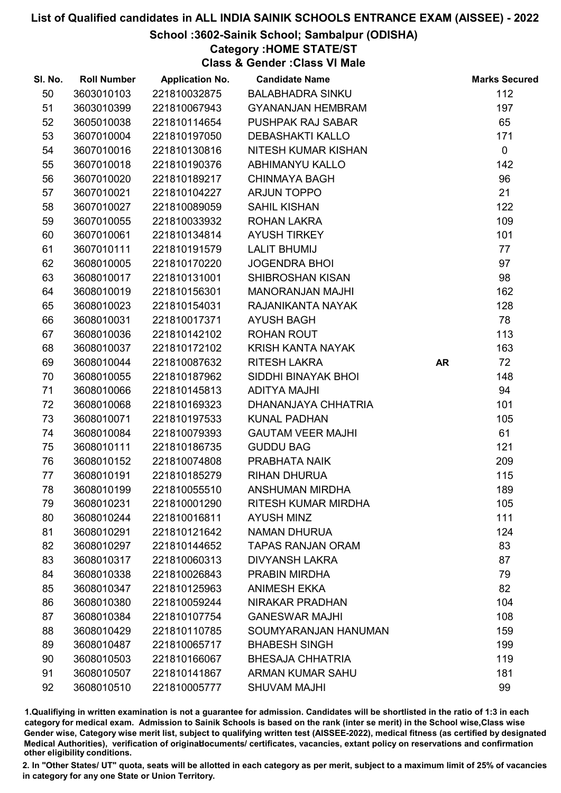### School :3602-Sainik School; Sambalpur (ODISHA)

Category :HOME STATE/ST

Class & Gender :Class VI Male

| SI. No. | <b>Roll Number</b> | <b>Application No.</b> | <b>Candidate Name</b>    |           | <b>Marks Secured</b> |
|---------|--------------------|------------------------|--------------------------|-----------|----------------------|
| 50      | 3603010103         | 221810032875           | <b>BALABHADRA SINKU</b>  |           | 112                  |
| 51      | 3603010399         | 221810067943           | <b>GYANANJAN HEMBRAM</b> |           | 197                  |
| 52      | 3605010038         | 221810114654           | PUSHPAK RAJ SABAR        |           | 65                   |
| 53      | 3607010004         | 221810197050           | <b>DEBASHAKTI KALLO</b>  |           | 171                  |
| 54      | 3607010016         | 221810130816           | NITESH KUMAR KISHAN      |           | $\mathbf 0$          |
| 55      | 3607010018         | 221810190376           | <b>ABHIMANYU KALLO</b>   |           | 142                  |
| 56      | 3607010020         | 221810189217           | <b>CHINMAYA BAGH</b>     |           | 96                   |
| 57      | 3607010021         | 221810104227           | <b>ARJUN TOPPO</b>       |           | 21                   |
| 58      | 3607010027         | 221810089059           | SAHIL KISHAN             |           | 122                  |
| 59      | 3607010055         | 221810033932           | <b>ROHAN LAKRA</b>       |           | 109                  |
| 60      | 3607010061         | 221810134814           | <b>AYUSH TIRKEY</b>      |           | 101                  |
| 61      | 3607010111         | 221810191579           | <b>LALIT BHUMIJ</b>      |           | 77                   |
| 62      | 3608010005         | 221810170220           | <b>JOGENDRA BHOI</b>     |           | 97                   |
| 63      | 3608010017         | 221810131001           | SHIBROSHAN KISAN         |           | 98                   |
| 64      | 3608010019         | 221810156301           | <b>MANORANJAN MAJHI</b>  |           | 162                  |
| 65      | 3608010023         | 221810154031           | RAJANIKANTA NAYAK        |           | 128                  |
| 66      | 3608010031         | 221810017371           | <b>AYUSH BAGH</b>        |           | 78                   |
| 67      | 3608010036         | 221810142102           | <b>ROHAN ROUT</b>        |           | 113                  |
| 68      | 3608010037         | 221810172102           | KRISH KANTA NAYAK        |           | 163                  |
| 69      | 3608010044         | 221810087632           | <b>RITESH LAKRA</b>      | <b>AR</b> | 72                   |
| 70      | 3608010055         | 221810187962           | SIDDHI BINAYAK BHOI      |           | 148                  |
| 71      | 3608010066         | 221810145813           | <b>ADITYA MAJHI</b>      |           | 94                   |
| 72      | 3608010068         | 221810169323           | DHANANJAYA CHHATRIA      |           | 101                  |
| 73      | 3608010071         | 221810197533           | <b>KUNAL PADHAN</b>      |           | 105                  |
| 74      | 3608010084         | 221810079393           | <b>GAUTAM VEER MAJHI</b> |           | 61                   |
| 75      | 3608010111         | 221810186735           | <b>GUDDU BAG</b>         |           | 121                  |
| 76      | 3608010152         | 221810074808           | PRABHATA NAIK            |           | 209                  |
| 77      | 3608010191         | 221810185279           | <b>RIHAN DHURUA</b>      |           | 115                  |
| 78      | 3608010199         | 221810055510           | <b>ANSHUMAN MIRDHA</b>   |           | 189                  |
| 79      | 3608010231         | 221810001290           | RITESH KUMAR MIRDHA      |           | 105                  |
| 80      | 3608010244         | 221810016811           | <b>AYUSH MINZ</b>        |           | 111                  |
| 81      | 3608010291         | 221810121642           | <b>NAMAN DHURUA</b>      |           | 124                  |
| 82      | 3608010297         | 221810144652           | <b>TAPAS RANJAN ORAM</b> |           | 83                   |
| 83      | 3608010317         | 221810060313           | <b>DIVYANSH LAKRA</b>    |           | 87                   |
| 84      | 3608010338         | 221810026843           | PRABIN MIRDHA            |           | 79                   |
| 85      | 3608010347         | 221810125963           | <b>ANIMESH EKKA</b>      |           | 82                   |
| 86      | 3608010380         | 221810059244           | <b>NIRAKAR PRADHAN</b>   |           | 104                  |
| 87      | 3608010384         | 221810107754           | <b>GANESWAR MAJHI</b>    |           | 108                  |
| 88      | 3608010429         | 221810110785           | SOUMYARANJAN HANUMAN     |           | 159                  |
| 89      | 3608010487         | 221810065717           | <b>BHABESH SINGH</b>     |           | 199                  |
| 90      | 3608010503         | 221810166067           | <b>BHESAJA CHHATRIA</b>  |           | 119                  |
| 91      | 3608010507         | 221810141867           | <b>ARMAN KUMAR SAHU</b>  |           | 181                  |
| 92      | 3608010510         | 221810005777           | <b>SHUVAM MAJHI</b>      |           | 99                   |

1.Qualifiying in written examination is not a guarantee for admission. Candidates will be shortlisted in the ratio of 1:3 in each category for medical exam. Admission to Sainik Schools is based on the rank (inter se merit) in the School wise,Class wise Gender wise, Category wise merit list, subject to qualifying written test (AISSEE-2022), medical fitness (as certified by designated Medical Authorities), verification of originablocuments/ certificates, vacancies, extant policy on reservations and confirmation other eligibility conditions.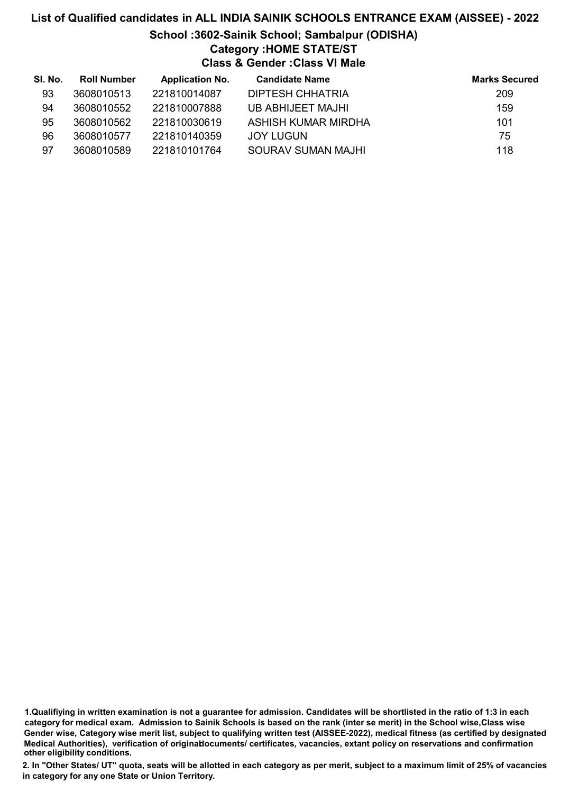# List of Qualified candidates in ALL INDIA SAINIK SCHOOLS ENTRANCE EXAM (AISSEE) - 2022 School :3602-Sainik School; Sambalpur (ODISHA) Category :HOME STATE/ST Class & Gender :Class VI Male

| SI. No. | <b>Roll Number</b> | <b>Application No.</b> | <b>Candidate Name</b> | <b>Marks Secured</b> |
|---------|--------------------|------------------------|-----------------------|----------------------|
| 93      | 3608010513         | 221810014087           | DIPTESH CHHATRIA      | 209                  |
| 94      | 3608010552         | 221810007888           | UB ABHIJEET MAJHI     | 159                  |
| 95      | 3608010562         | 221810030619           | ASHISH KUMAR MIRDHA   | 101                  |
| 96      | 3608010577         | 221810140359           | JOY LUGUN             | 75                   |
| 97      | 3608010589         | 221810101764           | SOURAV SUMAN MAJHI    | 118                  |

<sup>1.</sup>Qualifiying in written examination is not a guarantee for admission. Candidates will be shortlisted in the ratio of 1:3 in each category for medical exam. Admission to Sainik Schools is based on the rank (inter se merit) in the School wise,Class wise Gender wise, Category wise merit list, subject to qualifying written test (AISSEE-2022), medical fitness (as certified by designated Medical Authorities), verification of originablocuments/ certificates, vacancies, extant policy on reservations and confirmation other eligibility conditions.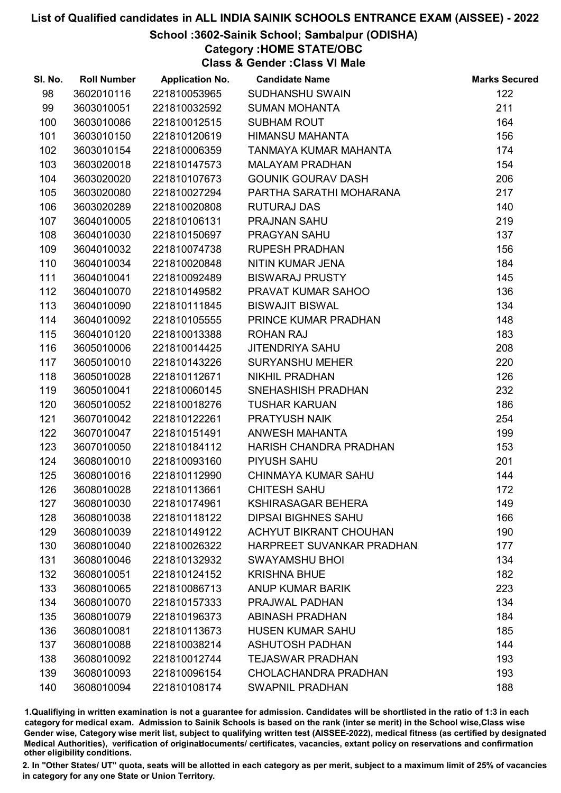#### School :3602-Sainik School; Sambalpur (ODISHA)

Category :HOME STATE/OBC

Class & Gender :Class VI Male

| SI. No. | <b>Roll Number</b> | <b>Application No.</b> | <b>Candidate Name</b>         | <b>Marks Secured</b> |
|---------|--------------------|------------------------|-------------------------------|----------------------|
| 98      | 3602010116         | 221810053965           | SUDHANSHU SWAIN               | 122                  |
| 99      | 3603010051         | 221810032592           | <b>SUMAN MOHANTA</b>          | 211                  |
| 100     | 3603010086         | 221810012515           | <b>SUBHAM ROUT</b>            | 164                  |
| 101     | 3603010150         | 221810120619           | <b>HIMANSU MAHANTA</b>        | 156                  |
| 102     | 3603010154         | 221810006359           | TANMAYA KUMAR MAHANTA         | 174                  |
| 103     | 3603020018         | 221810147573           | <b>MALAYAM PRADHAN</b>        | 154                  |
| 104     | 3603020020         | 221810107673           | <b>GOUNIK GOURAV DASH</b>     | 206                  |
| 105     | 3603020080         | 221810027294           | PARTHA SARATHI MOHARANA       | 217                  |
| 106     | 3603020289         | 221810020808           | <b>RUTURAJ DAS</b>            | 140                  |
| 107     | 3604010005         | 221810106131           | PRAJNAN SAHU                  | 219                  |
| 108     | 3604010030         | 221810150697           | PRAGYAN SAHU                  | 137                  |
| 109     | 3604010032         | 221810074738           | <b>RUPESH PRADHAN</b>         | 156                  |
| 110     | 3604010034         | 221810020848           | NITIN KUMAR JENA              | 184                  |
| 111     | 3604010041         | 221810092489           | <b>BISWARAJ PRUSTY</b>        | 145                  |
| 112     | 3604010070         | 221810149582           | PRAVAT KUMAR SAHOO            | 136                  |
| 113     | 3604010090         | 221810111845           | <b>BISWAJIT BISWAL</b>        | 134                  |
| 114     | 3604010092         | 221810105555           | PRINCE KUMAR PRADHAN          | 148                  |
| 115     | 3604010120         | 221810013388           | <b>ROHAN RAJ</b>              | 183                  |
| 116     | 3605010006         | 221810014425           | <b>JITENDRIYA SAHU</b>        | 208                  |
| 117     | 3605010010         | 221810143226           | <b>SURYANSHU MEHER</b>        | 220                  |
| 118     | 3605010028         | 221810112671           | <b>NIKHIL PRADHAN</b>         | 126                  |
| 119     | 3605010041         | 221810060145           | SNEHASHISH PRADHAN            | 232                  |
| 120     | 3605010052         | 221810018276           | <b>TUSHAR KARUAN</b>          | 186                  |
| 121     | 3607010042         | 221810122261           | PRATYUSH NAIK                 | 254                  |
| 122     | 3607010047         | 221810151491           | ANWESH MAHANTA                | 199                  |
| 123     | 3607010050         | 221810184112           | HARISH CHANDRA PRADHAN        | 153                  |
| 124     | 3608010010         | 221810093160           | PIYUSH SAHU                   | 201                  |
| 125     | 3608010016         | 221810112990           | <b>CHINMAYA KUMAR SAHU</b>    | 144                  |
| 126     | 3608010028         | 221810113661           | <b>CHITESH SAHU</b>           | 172                  |
| 127     | 3608010030         | 221810174961           | <b>KSHIRASAGAR BEHERA</b>     | 149                  |
| 128     | 3608010038         | 221810118122           | <b>DIPSAI BIGHNES SAHU</b>    | 166                  |
| 129     | 3608010039         | 221810149122           | <b>ACHYUT BIKRANT CHOUHAN</b> | 190                  |
| 130     | 3608010040         | 221810026322           | HARPREET SUVANKAR PRADHAN     | 177                  |
| 131     | 3608010046         | 221810132932           | <b>SWAYAMSHU BHOI</b>         | 134                  |
| 132     | 3608010051         | 221810124152           | <b>KRISHNA BHUE</b>           | 182                  |
| 133     | 3608010065         | 221810086713           | <b>ANUP KUMAR BARIK</b>       | 223                  |
| 134     | 3608010070         | 221810157333           | PRAJWAL PADHAN                | 134                  |
| 135     | 3608010079         | 221810196373           | <b>ABINASH PRADHAN</b>        | 184                  |
| 136     | 3608010081         | 221810113673           | <b>HUSEN KUMAR SAHU</b>       | 185                  |
| 137     | 3608010088         | 221810038214           | <b>ASHUTOSH PADHAN</b>        | 144                  |
| 138     | 3608010092         | 221810012744           | <b>TEJASWAR PRADHAN</b>       | 193                  |
| 139     | 3608010093         | 221810096154           | <b>CHOLACHANDRA PRADHAN</b>   | 193                  |
| 140     | 3608010094         | 221810108174           | <b>SWAPNIL PRADHAN</b>        | 188                  |

1.Qualifiying in written examination is not a guarantee for admission. Candidates will be shortlisted in the ratio of 1:3 in each category for medical exam. Admission to Sainik Schools is based on the rank (inter se merit) in the School wise,Class wise Gender wise, Category wise merit list, subject to qualifying written test (AISSEE-2022), medical fitness (as certified by designated Medical Authorities), verification of originablocuments/ certificates, vacancies, extant policy on reservations and confirmation other eligibility conditions.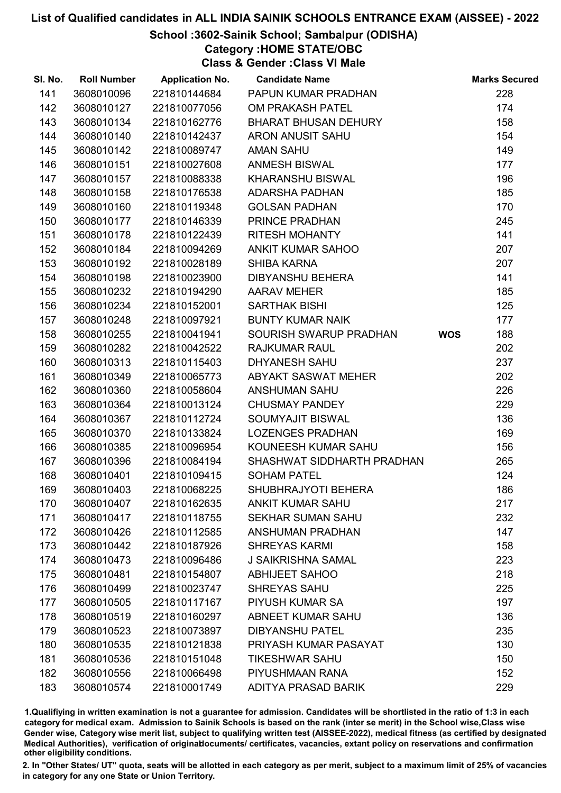#### School :3602-Sainik School; Sambalpur (ODISHA)

Category :HOME STATE/OBC

Class & Gender :Class VI Male

| SI. No. | <b>Roll Number</b> | <b>Application No.</b> | <b>Candidate Name</b>       |            | <b>Marks Secured</b> |
|---------|--------------------|------------------------|-----------------------------|------------|----------------------|
| 141     | 3608010096         | 221810144684           | PAPUN KUMAR PRADHAN         |            | 228                  |
| 142     | 3608010127         | 221810077056           | OM PRAKASH PATEL            |            | 174                  |
| 143     | 3608010134         | 221810162776           | <b>BHARAT BHUSAN DEHURY</b> |            | 158                  |
| 144     | 3608010140         | 221810142437           | <b>ARON ANUSIT SAHU</b>     |            | 154                  |
| 145     | 3608010142         | 221810089747           | <b>AMAN SAHU</b>            |            | 149                  |
| 146     | 3608010151         | 221810027608           | <b>ANMESH BISWAL</b>        |            | 177                  |
| 147     | 3608010157         | 221810088338           | <b>KHARANSHU BISWAL</b>     |            | 196                  |
| 148     | 3608010158         | 221810176538           | <b>ADARSHA PADHAN</b>       |            | 185                  |
| 149     | 3608010160         | 221810119348           | <b>GOLSAN PADHAN</b>        |            | 170                  |
| 150     | 3608010177         | 221810146339           | PRINCE PRADHAN              |            | 245                  |
| 151     | 3608010178         | 221810122439           | <b>RITESH MOHANTY</b>       |            | 141                  |
| 152     | 3608010184         | 221810094269           | <b>ANKIT KUMAR SAHOO</b>    |            | 207                  |
| 153     | 3608010192         | 221810028189           | <b>SHIBA KARNA</b>          |            | 207                  |
| 154     | 3608010198         | 221810023900           | <b>DIBYANSHU BEHERA</b>     |            | 141                  |
| 155     | 3608010232         | 221810194290           | <b>AARAV MEHER</b>          |            | 185                  |
| 156     | 3608010234         | 221810152001           | <b>SARTHAK BISHI</b>        |            | 125                  |
| 157     | 3608010248         | 221810097921           | <b>BUNTY KUMAR NAIK</b>     |            | 177                  |
| 158     | 3608010255         | 221810041941           | SOURISH SWARUP PRADHAN      | <b>WOS</b> | 188                  |
| 159     | 3608010282         | 221810042522           | <b>RAJKUMAR RAUL</b>        |            | 202                  |
| 160     | 3608010313         | 221810115403           | <b>DHYANESH SAHU</b>        |            | 237                  |
| 161     | 3608010349         | 221810065773           | ABYAKT SASWAT MEHER         |            | 202                  |
| 162     | 3608010360         | 221810058604           | <b>ANSHUMAN SAHU</b>        |            | 226                  |
| 163     | 3608010364         | 221810013124           | <b>CHUSMAY PANDEY</b>       |            | 229                  |
| 164     | 3608010367         | 221810112724           | SOUMYAJIT BISWAL            |            | 136                  |
| 165     | 3608010370         | 221810133824           | <b>LOZENGES PRADHAN</b>     |            | 169                  |
| 166     | 3608010385         | 221810096954           | KOUNEESH KUMAR SAHU         |            | 156                  |
| 167     | 3608010396         | 221810084194           | SHASHWAT SIDDHARTH PRADHAN  |            | 265                  |
| 168     | 3608010401         | 221810109415           | <b>SOHAM PATEL</b>          |            | 124                  |
| 169     | 3608010403         | 221810068225           | SHUBHRAJYOTI BEHERA         |            | 186                  |
| 170     | 3608010407         | 221810162635           | <b>ANKIT KUMAR SAHU</b>     |            | 217                  |
| 171     | 3608010417         | 221810118755           | <b>SEKHAR SUMAN SAHU</b>    |            | 232                  |
| 172     | 3608010426         | 221810112585           | <b>ANSHUMAN PRADHAN</b>     |            | 147                  |
| 173     | 3608010442         | 221810187926           | <b>SHREYAS KARMI</b>        |            | 158                  |
| 174     | 3608010473         | 221810096486           | <b>J SAIKRISHNA SAMAL</b>   |            | 223                  |
| 175     | 3608010481         | 221810154807           | <b>ABHIJEET SAHOO</b>       |            | 218                  |
| 176     | 3608010499         | 221810023747           | <b>SHREYAS SAHU</b>         |            | 225                  |
| 177     | 3608010505         | 221810117167           | <b>PIYUSH KUMAR SA</b>      |            | 197                  |
| 178     | 3608010519         | 221810160297           | <b>ABNEET KUMAR SAHU</b>    |            | 136                  |
| 179     | 3608010523         | 221810073897           | <b>DIBYANSHU PATEL</b>      |            | 235                  |
| 180     | 3608010535         | 221810121838           | PRIYASH KUMAR PASAYAT       |            | 130                  |
| 181     | 3608010536         | 221810151048           | <b>TIKESHWAR SAHU</b>       |            | 150                  |
| 182     | 3608010556         | 221810066498           | PIYUSHMAAN RANA             |            | 152                  |
| 183     | 3608010574         | 221810001749           | ADITYA PRASAD BARIK         |            | 229                  |

1.Qualifiying in written examination is not a guarantee for admission. Candidates will be shortlisted in the ratio of 1:3 in each category for medical exam. Admission to Sainik Schools is based on the rank (inter se merit) in the School wise,Class wise Gender wise, Category wise merit list, subject to qualifying written test (AISSEE-2022), medical fitness (as certified by designated Medical Authorities), verification of originablocuments/ certificates, vacancies, extant policy on reservations and confirmation other eligibility conditions.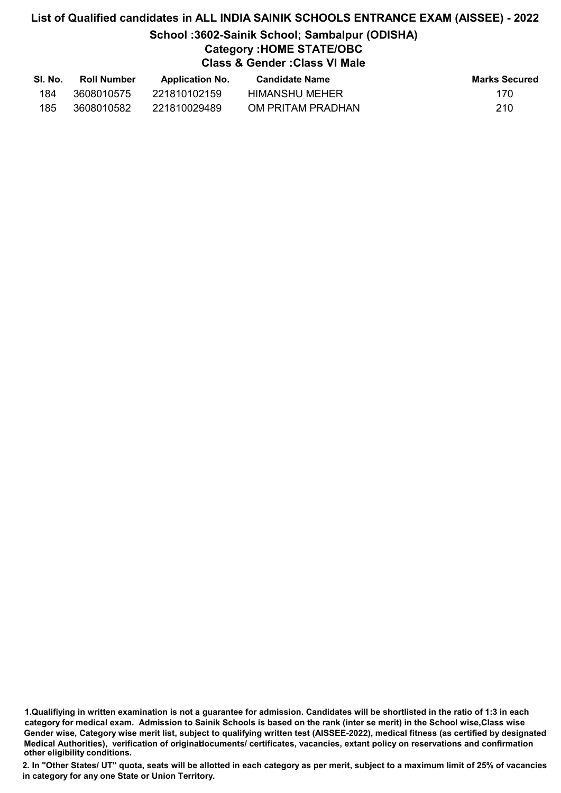# List of Qualified candidates in ALL INDIA SAINIK SCHOOLS ENTRANCE EXAM (AISSEE) - 2022 School :3602-Sainik School; Sambalpur (ODISHA) Category :HOME STATE/OBC Class & Gender :Class VI Male

| SI. No. | <b>Roll Number</b> | <b>Application No.</b> | Candidate Name    | <b>Marks Secured</b> |
|---------|--------------------|------------------------|-------------------|----------------------|
| 184     | 3608010575         | 221810102159           | HIMANSHU MEHER    | 170                  |
| 185     | 3608010582         | 221810029489           | OM PRITAM PRADHAN | 210                  |

<sup>1.</sup>Qualifiying in written examination is not a guarantee for admission. Candidates will be shortlisted in the ratio of 1:3 in each category for medical exam. Admission to Sainik Schools is based on the rank (inter se merit) in the School wise,Class wise Gender wise, Category wise merit list, subject to qualifying written test (AISSEE-2022), medical fitness (as certified by designated Medical Authorities), verification of originablocuments/ certificates, vacancies, extant policy on reservations and confirmation other eligibility conditions.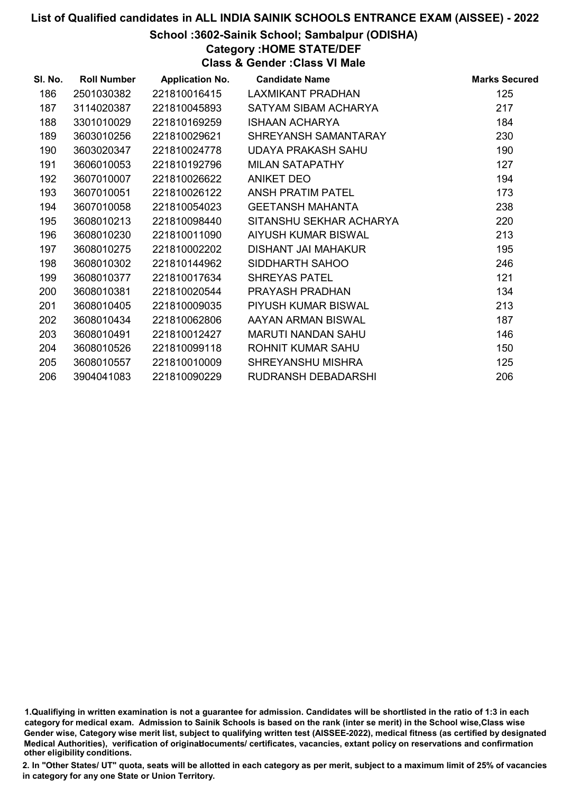#### School :3602-Sainik School; Sambalpur (ODISHA)

Category :HOME STATE/DEF

Class & Gender :Class VI Male

| SI. No. | <b>Roll Number</b> | <b>Application No.</b> | <b>Candidate Name</b>      | <b>Marks Secured</b> |
|---------|--------------------|------------------------|----------------------------|----------------------|
| 186     | 2501030382         | 221810016415           | LAXMIKANT PRADHAN          | 125                  |
| 187     | 3114020387         | 221810045893           | SATYAM SIBAM ACHARYA       | 217                  |
| 188     | 3301010029         | 221810169259           | <b>ISHAAN ACHARYA</b>      | 184                  |
| 189     | 3603010256         | 221810029621           | SHREYANSH SAMANTARAY       | 230                  |
| 190     | 3603020347         | 221810024778           | <b>UDAYA PRAKASH SAHU</b>  | 190                  |
| 191     | 3606010053         | 221810192796           | <b>MILAN SATAPATHY</b>     | 127                  |
| 192     | 3607010007         | 221810026622           | ANIKET DEO                 | 194                  |
| 193     | 3607010051         | 221810026122           | ANSH PRATIM PATEL          | 173                  |
| 194     | 3607010058         | 221810054023           | <b>GEETANSH MAHANTA</b>    | 238                  |
| 195     | 3608010213         | 221810098440           | SITANSHU SEKHAR ACHARYA    | 220                  |
| 196     | 3608010230         | 221810011090           | <b>AIYUSH KUMAR BISWAL</b> | 213                  |
| 197     | 3608010275         | 221810002202           | DISHANT JAI MAHAKUR        | 195                  |
| 198     | 3608010302         | 221810144962           | SIDDHARTH SAHOO            | 246                  |
| 199     | 3608010377         | 221810017634           | <b>SHREYAS PATEL</b>       | 121                  |
| 200     | 3608010381         | 221810020544           | PRAYASH PRADHAN            | 134                  |
| 201     | 3608010405         | 221810009035           | PIYUSH KUMAR BISWAL        | 213                  |
| 202     | 3608010434         | 221810062806           | AAYAN ARMAN BISWAL         | 187                  |
| 203     | 3608010491         | 221810012427           | MARUTI NANDAN SAHU         | 146                  |
| 204     | 3608010526         | 221810099118           | ROHNIT KUMAR SAHU          | 150                  |
| 205     | 3608010557         | 221810010009           | SHREYANSHU MISHRA          | 125                  |
| 206     | 3904041083         | 221810090229           | RUDRANSH DEBADARSHI        | 206                  |

<sup>1.</sup>Qualifiying in written examination is not a guarantee for admission. Candidates will be shortlisted in the ratio of 1:3 in each category for medical exam. Admission to Sainik Schools is based on the rank (inter se merit) in the School wise,Class wise Gender wise, Category wise merit list, subject to qualifying written test (AISSEE-2022), medical fitness (as certified by designated Medical Authorities), verification of originablocuments/ certificates, vacancies, extant policy on reservations and confirmation other eligibility conditions.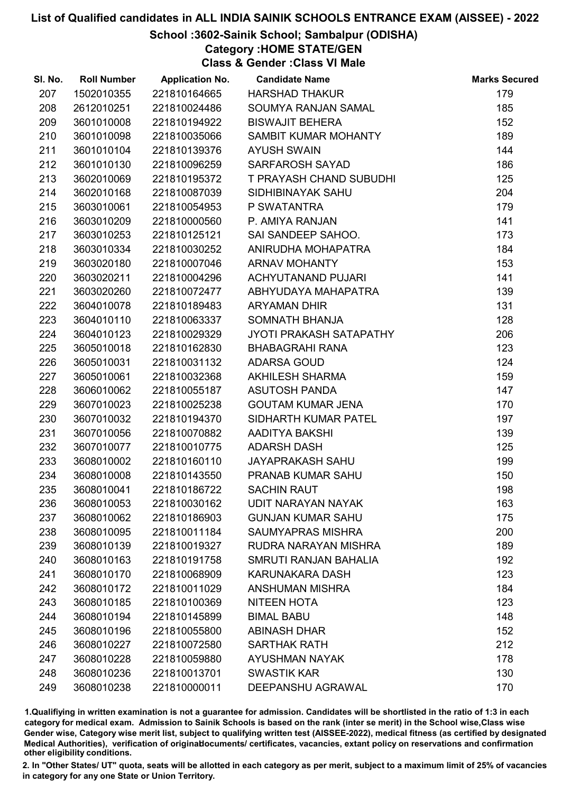#### School :3602-Sainik School; Sambalpur (ODISHA)

Category :HOME STATE/GEN

Class & Gender :Class VI Male

| SI. No. | <b>Roll Number</b> | <b>Application No.</b> | <b>Candidate Name</b>          | <b>Marks Secured</b> |
|---------|--------------------|------------------------|--------------------------------|----------------------|
| 207     | 1502010355         | 221810164665           | <b>HARSHAD THAKUR</b>          | 179                  |
| 208     | 2612010251         | 221810024486           | SOUMYA RANJAN SAMAL            | 185                  |
| 209     | 3601010008         | 221810194922           | <b>BISWAJIT BEHERA</b>         | 152                  |
| 210     | 3601010098         | 221810035066           | SAMBIT KUMAR MOHANTY           | 189                  |
| 211     | 3601010104         | 221810139376           | <b>AYUSH SWAIN</b>             | 144                  |
| 212     | 3601010130         | 221810096259           | SARFAROSH SAYAD                | 186                  |
| 213     | 3602010069         | 221810195372           | <b>T PRAYASH CHAND SUBUDHI</b> | 125                  |
| 214     | 3602010168         | 221810087039           | SIDHIBINAYAK SAHU              | 204                  |
| 215     | 3603010061         | 221810054953           | P SWATANTRA                    | 179                  |
| 216     | 3603010209         | 221810000560           | P. AMIYA RANJAN                | 141                  |
| 217     | 3603010253         | 221810125121           | SAI SANDEEP SAHOO.             | 173                  |
| 218     | 3603010334         | 221810030252           | ANIRUDHA MOHAPATRA             | 184                  |
| 219     | 3603020180         | 221810007046           | <b>ARNAV MOHANTY</b>           | 153                  |
| 220     | 3603020211         | 221810004296           | <b>ACHYUTANAND PUJARI</b>      | 141                  |
| 221     | 3603020260         | 221810072477           | ABHYUDAYA MAHAPATRA            | 139                  |
| 222     | 3604010078         | 221810189483           | <b>ARYAMAN DHIR</b>            | 131                  |
| 223     | 3604010110         | 221810063337           | SOMNATH BHANJA                 | 128                  |
| 224     | 3604010123         | 221810029329           | JYOTI PRAKASH SATAPATHY        | 206                  |
| 225     | 3605010018         | 221810162830           | <b>BHABAGRAHI RANA</b>         | 123                  |
| 226     | 3605010031         | 221810031132           | <b>ADARSA GOUD</b>             | 124                  |
| 227     | 3605010061         | 221810032368           | <b>AKHILESH SHARMA</b>         | 159                  |
| 228     | 3606010062         | 221810055187           | <b>ASUTOSH PANDA</b>           | 147                  |
| 229     | 3607010023         | 221810025238           | <b>GOUTAM KUMAR JENA</b>       | 170                  |
| 230     | 3607010032         | 221810194370           | SIDHARTH KUMAR PATEL           | 197                  |
| 231     | 3607010056         | 221810070882           | AADITYA BAKSHI                 | 139                  |
| 232     | 3607010077         | 221810010775           | <b>ADARSH DASH</b>             | 125                  |
| 233     | 3608010002         | 221810160110           | <b>JAYAPRAKASH SAHU</b>        | 199                  |
| 234     | 3608010008         | 221810143550           | <b>PRANAB KUMAR SAHU</b>       | 150                  |
| 235     | 3608010041         | 221810186722           | <b>SACHIN RAUT</b>             | 198                  |
| 236     | 3608010053         | 221810030162           | <b>UDIT NARAYAN NAYAK</b>      | 163                  |
| 237     | 3608010062         | 221810186903           | <b>GUNJAN KUMAR SAHU</b>       | 175                  |
| 238     | 3608010095         | 221810011184           | <b>SAUMYAPRAS MISHRA</b>       | 200                  |
| 239     | 3608010139         | 221810019327           | RUDRA NARAYAN MISHRA           | 189                  |
| 240     | 3608010163         | 221810191758           | <b>SMRUTI RANJAN BAHALIA</b>   | 192                  |
| 241     | 3608010170         | 221810068909           | KARUNAKARA DASH                | 123                  |
| 242     | 3608010172         | 221810011029           | <b>ANSHUMAN MISHRA</b>         | 184                  |
| 243     | 3608010185         | 221810100369           | NITEEN HOTA                    | 123                  |
| 244     | 3608010194         | 221810145899           | <b>BIMAL BABU</b>              | 148                  |
| 245     | 3608010196         | 221810055800           | <b>ABINASH DHAR</b>            | 152                  |
| 246     | 3608010227         | 221810072580           | <b>SARTHAK RATH</b>            | 212                  |
| 247     | 3608010228         | 221810059880           | <b>AYUSHMAN NAYAK</b>          | 178                  |
| 248     | 3608010236         | 221810013701           | <b>SWASTIK KAR</b>             | 130                  |
| 249     | 3608010238         | 221810000011           | DEEPANSHU AGRAWAL              | 170                  |

1.Qualifiying in written examination is not a guarantee for admission. Candidates will be shortlisted in the ratio of 1:3 in each category for medical exam. Admission to Sainik Schools is based on the rank (inter se merit) in the School wise,Class wise Gender wise, Category wise merit list, subject to qualifying written test (AISSEE-2022), medical fitness (as certified by designated Medical Authorities), verification of originablocuments/ certificates, vacancies, extant policy on reservations and confirmation other eligibility conditions.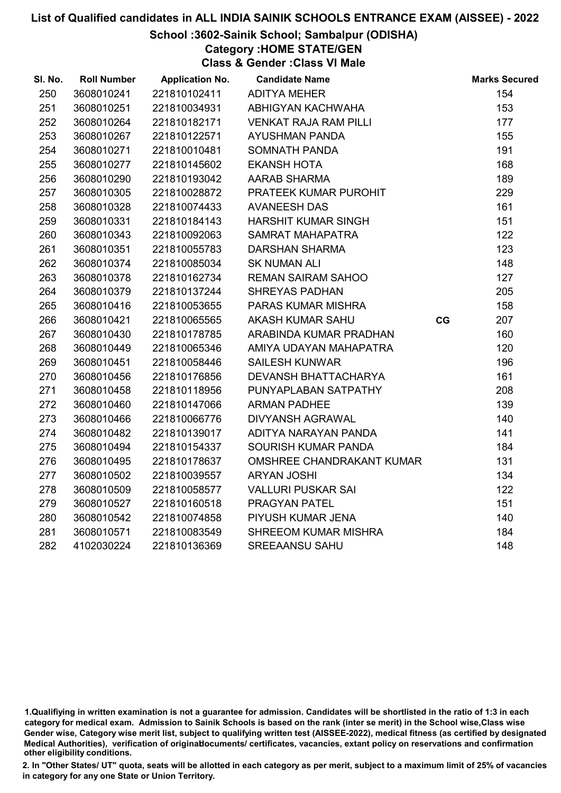#### School :3602-Sainik School; Sambalpur (ODISHA)

Category :HOME STATE/GEN

Class & Gender :Class VI Male

| SI. No. | <b>Roll Number</b> | <b>Application No.</b> | <b>Candidate Name</b>            |    | <b>Marks Secured</b> |
|---------|--------------------|------------------------|----------------------------------|----|----------------------|
| 250     | 3608010241         | 221810102411           | <b>ADITYA MEHER</b>              |    | 154                  |
| 251     | 3608010251         | 221810034931           | ABHIGYAN KACHWAHA                |    | 153                  |
| 252     | 3608010264         | 221810182171           | <b>VENKAT RAJA RAM PILLI</b>     |    | 177                  |
| 253     | 3608010267         | 221810122571           | <b>AYUSHMAN PANDA</b>            |    | 155                  |
| 254     | 3608010271         | 221810010481           | SOMNATH PANDA                    |    | 191                  |
| 255     | 3608010277         | 221810145602           | <b>EKANSH HOTA</b>               |    | 168                  |
| 256     | 3608010290         | 221810193042           | AARAB SHARMA                     |    | 189                  |
| 257     | 3608010305         | 221810028872           | PRATEEK KUMAR PUROHIT            |    | 229                  |
| 258     | 3608010328         | 221810074433           | <b>AVANEESH DAS</b>              |    | 161                  |
| 259     | 3608010331         | 221810184143           | <b>HARSHIT KUMAR SINGH</b>       |    | 151                  |
| 260     | 3608010343         | 221810092063           | <b>SAMRAT MAHAPATRA</b>          |    | 122                  |
| 261     | 3608010351         | 221810055783           | <b>DARSHAN SHARMA</b>            |    | 123                  |
| 262     | 3608010374         | 221810085034           | <b>SK NUMAN ALI</b>              |    | 148                  |
| 263     | 3608010378         | 221810162734           | <b>REMAN SAIRAM SAHOO</b>        |    | 127                  |
| 264     | 3608010379         | 221810137244           | <b>SHREYAS PADHAN</b>            |    | 205                  |
| 265     | 3608010416         | 221810053655           | PARAS KUMAR MISHRA               |    | 158                  |
| 266     | 3608010421         | 221810065565           | <b>AKASH KUMAR SAHU</b>          | CG | 207                  |
| 267     | 3608010430         | 221810178785           | ARABINDA KUMAR PRADHAN           |    | 160                  |
| 268     | 3608010449         | 221810065346           | AMIYA UDAYAN MAHAPATRA           |    | 120                  |
| 269     | 3608010451         | 221810058446           | <b>SAILESH KUNWAR</b>            |    | 196                  |
| 270     | 3608010456         | 221810176856           | <b>DEVANSH BHATTACHARYA</b>      |    | 161                  |
| 271     | 3608010458         | 221810118956           | PUNYAPLABAN SATPATHY             |    | 208                  |
| 272     | 3608010460         | 221810147066           | <b>ARMAN PADHEE</b>              |    | 139                  |
| 273     | 3608010466         | 221810066776           | <b>DIVYANSH AGRAWAL</b>          |    | 140                  |
| 274     | 3608010482         | 221810139017           | ADITYA NARAYAN PANDA             |    | 141                  |
| 275     | 3608010494         | 221810154337           | SOURISH KUMAR PANDA              |    | 184                  |
| 276     | 3608010495         | 221810178637           | <b>OMSHREE CHANDRAKANT KUMAR</b> |    | 131                  |
| 277     | 3608010502         | 221810039557           | <b>ARYAN JOSHI</b>               |    | 134                  |
| 278     | 3608010509         | 221810058577           | <b>VALLURI PUSKAR SAI</b>        |    | 122                  |
| 279     | 3608010527         | 221810160518           | PRAGYAN PATEL                    |    | 151                  |
| 280     | 3608010542         | 221810074858           | PIYUSH KUMAR JENA                |    | 140                  |
| 281     | 3608010571         | 221810083549           | <b>SHREEOM KUMAR MISHRA</b>      |    | 184                  |
| 282     | 4102030224         | 221810136369           | <b>SREEAANSU SAHU</b>            |    | 148                  |

<sup>1.</sup>Qualifiying in written examination is not a guarantee for admission. Candidates will be shortlisted in the ratio of 1:3 in each category for medical exam. Admission to Sainik Schools is based on the rank (inter se merit) in the School wise,Class wise Gender wise, Category wise merit list, subject to qualifying written test (AISSEE-2022), medical fitness (as certified by designated Medical Authorities), verification of originablocuments/ certificates, vacancies, extant policy on reservations and confirmation other eligibility conditions.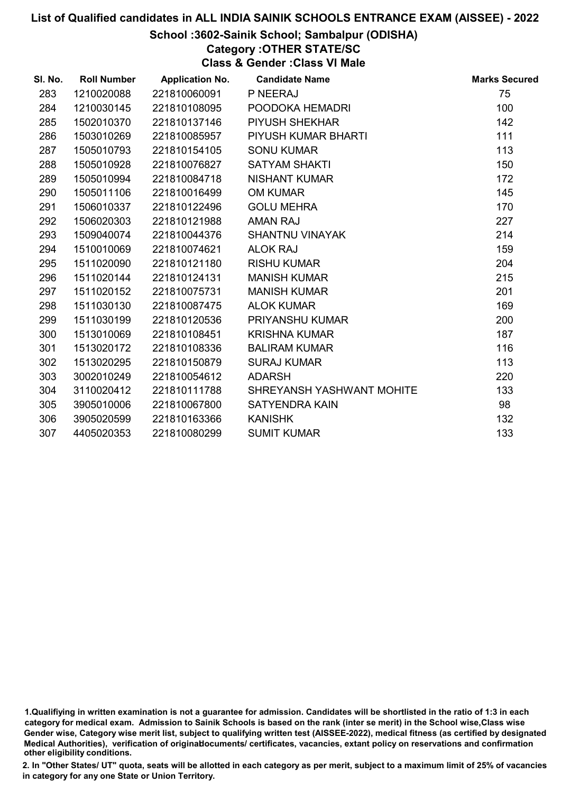#### School :3602-Sainik School; Sambalpur (ODISHA)

Category :OTHER STATE/SC

Class & Gender :Class VI Male

| SI. No. | <b>Roll Number</b> | <b>Application No.</b> | <b>Candidate Name</b>     | <b>Marks Secured</b> |
|---------|--------------------|------------------------|---------------------------|----------------------|
| 283     | 1210020088         | 221810060091           | P NEERAJ                  | 75                   |
| 284     | 1210030145         | 221810108095           | POODOKA HEMADRI           | 100                  |
| 285     | 1502010370         | 221810137146           | <b>PIYUSH SHEKHAR</b>     | 142                  |
| 286     | 1503010269         | 221810085957           | PIYUSH KUMAR BHARTI       | 111                  |
| 287     | 1505010793         | 221810154105           | <b>SONU KUMAR</b>         | 113                  |
| 288     | 1505010928         | 221810076827           | <b>SATYAM SHAKTI</b>      | 150                  |
| 289     | 1505010994         | 221810084718           | <b>NISHANT KUMAR</b>      | 172                  |
| 290     | 1505011106         | 221810016499           | <b>OM KUMAR</b>           | 145                  |
| 291     | 1506010337         | 221810122496           | <b>GOLU MEHRA</b>         | 170                  |
| 292     | 1506020303         | 221810121988           | <b>AMAN RAJ</b>           | 227                  |
| 293     | 1509040074         | 221810044376           | SHANTNU VINAYAK           | 214                  |
| 294     | 1510010069         | 221810074621           | <b>ALOK RAJ</b>           | 159                  |
| 295     | 1511020090         | 221810121180           | <b>RISHU KUMAR</b>        | 204                  |
| 296     | 1511020144         | 221810124131           | <b>MANISH KUMAR</b>       | 215                  |
| 297     | 1511020152         | 221810075731           | <b>MANISH KUMAR</b>       | 201                  |
| 298     | 1511030130         | 221810087475           | <b>ALOK KUMAR</b>         | 169                  |
| 299     | 1511030199         | 221810120536           | PRIYANSHU KUMAR           | 200                  |
| 300     | 1513010069         | 221810108451           | <b>KRISHNA KUMAR</b>      | 187                  |
| 301     | 1513020172         | 221810108336           | <b>BALIRAM KUMAR</b>      | 116                  |
| 302     | 1513020295         | 221810150879           | <b>SURAJ KUMAR</b>        | 113                  |
| 303     | 3002010249         | 221810054612           | <b>ADARSH</b>             | 220                  |
| 304     | 3110020412         | 221810111788           | SHREYANSH YASHWANT MOHITE | 133                  |
| 305     | 3905010006         | 221810067800           | <b>SATYENDRA KAIN</b>     | 98                   |
| 306     | 3905020599         | 221810163366           | <b>KANISHK</b>            | 132                  |
| 307     | 4405020353         | 221810080299           | <b>SUMIT KUMAR</b>        | 133                  |

<sup>1.</sup>Qualifiying in written examination is not a guarantee for admission. Candidates will be shortlisted in the ratio of 1:3 in each category for medical exam. Admission to Sainik Schools is based on the rank (inter se merit) in the School wise,Class wise Gender wise, Category wise merit list, subject to qualifying written test (AISSEE-2022), medical fitness (as certified by designated Medical Authorities), verification of originablocuments/ certificates, vacancies, extant policy on reservations and confirmation other eligibility conditions.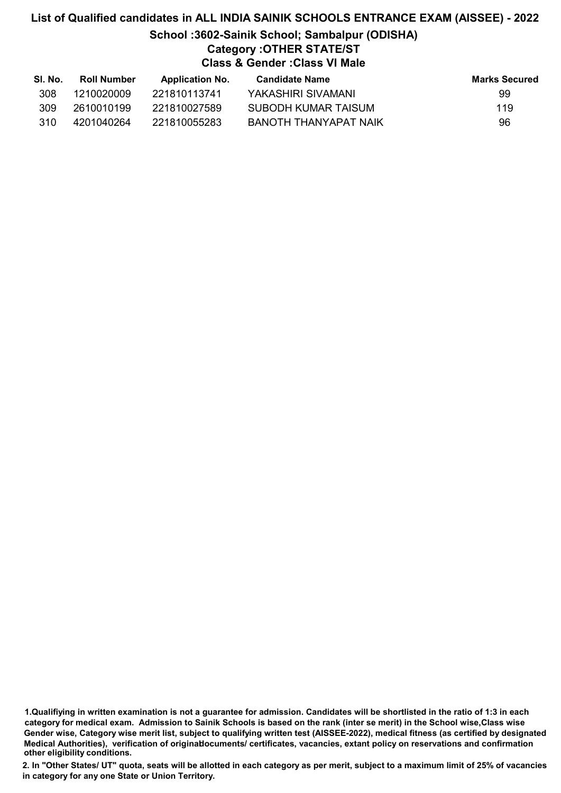# List of Qualified candidates in ALL INDIA SAINIK SCHOOLS ENTRANCE EXAM (AISSEE) - 2022 School :3602-Sainik School; Sambalpur (ODISHA) Category :OTHER STATE/ST Class & Gender :Class VI Male

| SI. No. | Roll Number | <b>Application No.</b> | Candidate Name        | <b>Marks Secured</b> |
|---------|-------------|------------------------|-----------------------|----------------------|
| 308     | 1210020009  | 221810113741           | YAKASHIRI SIVAMANI    | 99                   |
| 309     | 2610010199  | 221810027589           | SUBODH KUMAR TAISUM   | 119                  |
| 310     | 4201040264  | 221810055283           | BANOTH THANYAPAT NAIK | 96                   |

1.Qualifiying in written examination is not a guarantee for admission. Candidates will be shortlisted in the ratio of 1:3 in each category for medical exam. Admission to Sainik Schools is based on the rank (inter se merit) in the School wise,Class wise Gender wise, Category wise merit list, subject to qualifying written test (AISSEE-2022), medical fitness (as certified by designated Medical Authorities), verification of originablocuments/ certificates, vacancies, extant policy on reservations and confirmation other eligibility conditions.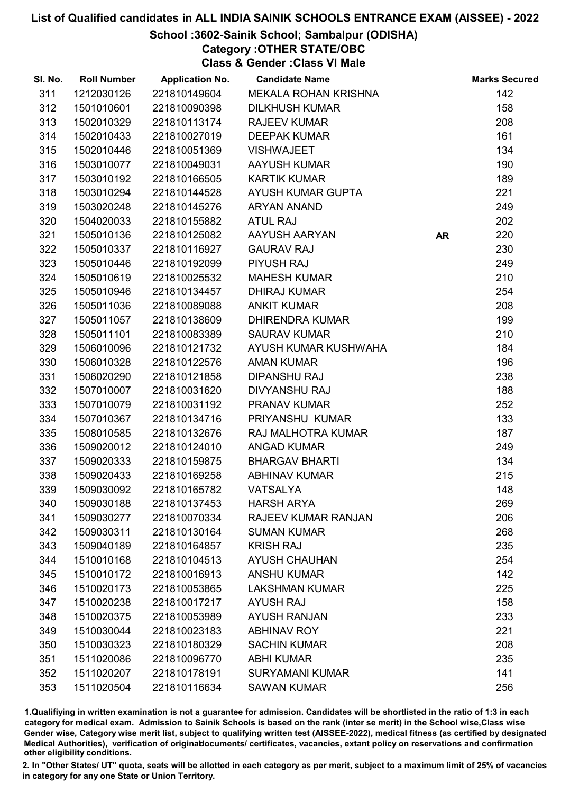### School :3602-Sainik School; Sambalpur (ODISHA)

Category :OTHER STATE/OBC

Class & Gender :Class VI Male

| SI. No. | <b>Roll Number</b> | <b>Application No.</b> | <b>Candidate Name</b>      |           | <b>Marks Secured</b> |
|---------|--------------------|------------------------|----------------------------|-----------|----------------------|
| 311     | 1212030126         | 221810149604           | MEKALA ROHAN KRISHNA       |           | 142                  |
| 312     | 1501010601         | 221810090398           | <b>DILKHUSH KUMAR</b>      |           | 158                  |
| 313     | 1502010329         | 221810113174           | <b>RAJEEV KUMAR</b>        |           | 208                  |
| 314     | 1502010433         | 221810027019           | <b>DEEPAK KUMAR</b>        |           | 161                  |
| 315     | 1502010446         | 221810051369           | <b>VISHWAJEET</b>          |           | 134                  |
| 316     | 1503010077         | 221810049031           | <b>AAYUSH KUMAR</b>        |           | 190                  |
| 317     | 1503010192         | 221810166505           | <b>KARTIK KUMAR</b>        |           | 189                  |
| 318     | 1503010294         | 221810144528           | AYUSH KUMAR GUPTA          |           | 221                  |
| 319     | 1503020248         | 221810145276           | <b>ARYAN ANAND</b>         |           | 249                  |
| 320     | 1504020033         | 221810155882           | <b>ATUL RAJ</b>            |           | 202                  |
| 321     | 1505010136         | 221810125082           | AAYUSH AARYAN              | <b>AR</b> | 220                  |
| 322     | 1505010337         | 221810116927           | <b>GAURAV RAJ</b>          |           | 230                  |
| 323     | 1505010446         | 221810192099           | <b>PIYUSH RAJ</b>          |           | 249                  |
| 324     | 1505010619         | 221810025532           | <b>MAHESH KUMAR</b>        |           | 210                  |
| 325     | 1505010946         | 221810134457           | <b>DHIRAJ KUMAR</b>        |           | 254                  |
| 326     | 1505011036         | 221810089088           | <b>ANKIT KUMAR</b>         |           | 208                  |
| 327     | 1505011057         | 221810138609           | <b>DHIRENDRA KUMAR</b>     |           | 199                  |
| 328     | 1505011101         | 221810083389           | <b>SAURAV KUMAR</b>        |           | 210                  |
| 329     | 1506010096         | 221810121732           | AYUSH KUMAR KUSHWAHA       |           | 184                  |
| 330     | 1506010328         | 221810122576           | <b>AMAN KUMAR</b>          |           | 196                  |
| 331     | 1506020290         | 221810121858           | <b>DIPANSHU RAJ</b>        |           | 238                  |
| 332     | 1507010007         | 221810031620           | <b>DIVYANSHU RAJ</b>       |           | 188                  |
| 333     | 1507010079         | 221810031192           | PRANAV KUMAR               |           | 252                  |
| 334     | 1507010367         | 221810134716           | PRIYANSHU KUMAR            |           | 133                  |
| 335     | 1508010585         | 221810132676           | RAJ MALHOTRA KUMAR         |           | 187                  |
| 336     | 1509020012         | 221810124010           | <b>ANGAD KUMAR</b>         |           | 249                  |
| 337     | 1509020333         | 221810159875           | <b>BHARGAV BHARTI</b>      |           | 134                  |
| 338     | 1509020433         | 221810169258           | <b>ABHINAV KUMAR</b>       |           | 215                  |
| 339     | 1509030092         | 221810165782           | <b>VATSALYA</b>            |           | 148                  |
| 340     | 1509030188         | 221810137453           | <b>HARSH ARYA</b>          |           | 269                  |
| 341     | 1509030277         | 221810070334           | <b>RAJEEV KUMAR RANJAN</b> |           | 206                  |
| 342     | 1509030311         | 221810130164           | <b>SUMAN KUMAR</b>         |           | 268                  |
| 343     | 1509040189         | 221810164857           | <b>KRISH RAJ</b>           |           | 235                  |
| 344     | 1510010168         | 221810104513           | <b>AYUSH CHAUHAN</b>       |           | 254                  |
| 345     | 1510010172         | 221810016913           | <b>ANSHU KUMAR</b>         |           | 142                  |
| 346     | 1510020173         | 221810053865           | <b>LAKSHMAN KUMAR</b>      |           | 225                  |
| 347     | 1510020238         | 221810017217           | <b>AYUSH RAJ</b>           |           | 158                  |
| 348     | 1510020375         | 221810053989           | <b>AYUSH RANJAN</b>        |           | 233                  |
| 349     | 1510030044         | 221810023183           | <b>ABHINAV ROY</b>         |           | 221                  |
| 350     | 1510030323         | 221810180329           | <b>SACHIN KUMAR</b>        |           | 208                  |
| 351     | 1511020086         | 221810096770           | <b>ABHI KUMAR</b>          |           | 235                  |
| 352     | 1511020207         | 221810178191           | <b>SURYAMANI KUMAR</b>     |           | 141                  |
| 353     | 1511020504         | 221810116634           | <b>SAWAN KUMAR</b>         |           | 256                  |

1.Qualifiying in written examination is not a guarantee for admission. Candidates will be shortlisted in the ratio of 1:3 in each category for medical exam. Admission to Sainik Schools is based on the rank (inter se merit) in the School wise,Class wise Gender wise, Category wise merit list, subject to qualifying written test (AISSEE-2022), medical fitness (as certified by designated Medical Authorities), verification of originablocuments/ certificates, vacancies, extant policy on reservations and confirmation other eligibility conditions.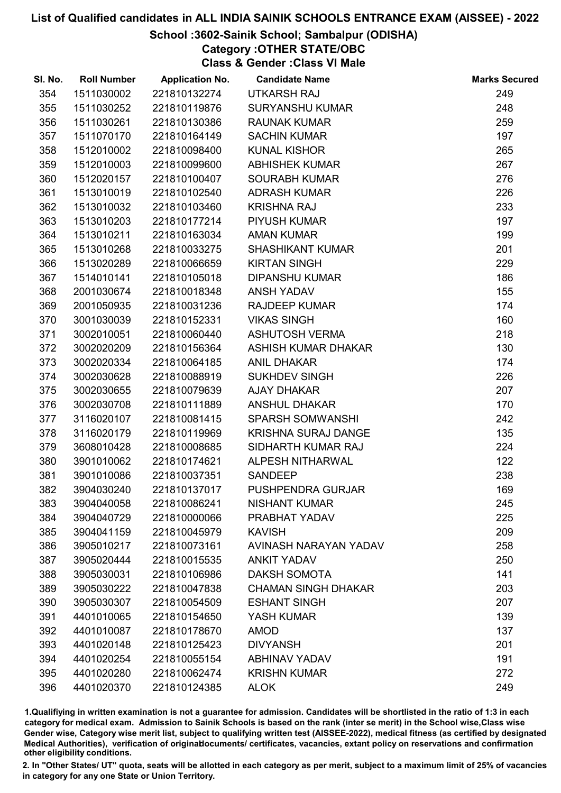#### School :3602-Sainik School; Sambalpur (ODISHA)

Category :OTHER STATE/OBC Class & Gender :Class VI Male

1.Qualifiying in written examination is not a guarantee for admission. Candidates will be shortlisted in the ratio of 1:3 in each category for medical exam. Admission to Sainik Schools is based on the rank (inter se merit) in the School wise,Class wise Gender wise, Category wise merit list, subject to qualifying written test (AISSEE-2022), medical fitness (as certified by designated Medical Authorities), verification of originablocuments/ certificates, vacancies, extant policy on reservations and confirmation other eligibility conditions.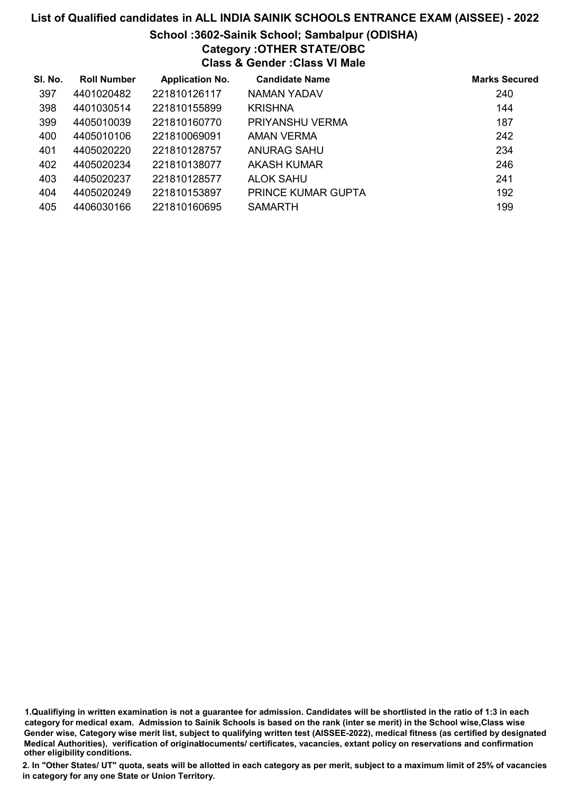# School :3602-Sainik School; Sambalpur (ODISHA)

Category :OTHER STATE/OBC

Class & Gender :Class VI Male

| SI. No. | <b>Roll Number</b> | <b>Application No.</b> | <b>Candidate Name</b>     | <b>Marks Secured</b> |
|---------|--------------------|------------------------|---------------------------|----------------------|
| 397     | 4401020482         | 221810126117           | NAMAN YADAV               | 240                  |
| 398     | 4401030514         | 221810155899           | <b>KRISHNA</b>            | 144                  |
| 399     | 4405010039         | 221810160770           | PRIYANSHU VERMA           | 187                  |
| 400     | 4405010106         | 221810069091           | AMAN VERMA                | 242                  |
| 401     | 4405020220         | 221810128757           | ANURAG SAHU               | 234                  |
| 402     | 4405020234         | 221810138077           | AKASH KUMAR               | 246                  |
| 403     | 4405020237         | 221810128577           | ALOK SAHU                 | 241                  |
| 404     | 4405020249         | 221810153897           | <b>PRINCE KUMAR GUPTA</b> | 192                  |
| 405     | 4406030166         | 221810160695           | <b>SAMARTH</b>            | 199                  |

1.Qualifiying in written examination is not a guarantee for admission. Candidates will be shortlisted in the ratio of 1:3 in each category for medical exam. Admission to Sainik Schools is based on the rank (inter se merit) in the School wise,Class wise Gender wise, Category wise merit list, subject to qualifying written test (AISSEE-2022), medical fitness (as certified by designated Medical Authorities), verification of originablocuments/ certificates, vacancies, extant policy on reservations and confirmation other eligibility conditions.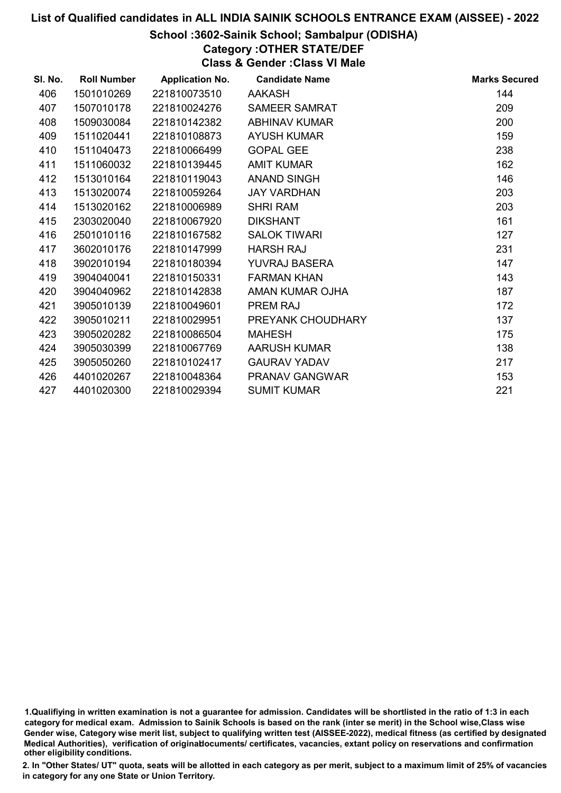#### School :3602-Sainik School; Sambalpur (ODISHA)

Category :OTHER STATE/DEF

Class & Gender :Class VI Male

| SI. No. | <b>Roll Number</b> | <b>Application No.</b> | <b>Candidate Name</b> | <b>Marks Secured</b> |
|---------|--------------------|------------------------|-----------------------|----------------------|
| 406     | 1501010269         | 221810073510           | <b>AAKASH</b>         | 144                  |
| 407     | 1507010178         | 221810024276           | <b>SAMEER SAMRAT</b>  | 209                  |
| 408     | 1509030084         | 221810142382           | <b>ABHINAV KUMAR</b>  | 200                  |
| 409     | 1511020441         | 221810108873           | <b>AYUSH KUMAR</b>    | 159                  |
| 410     | 1511040473         | 221810066499           | <b>GOPAL GEE</b>      | 238                  |
| 411     | 1511060032         | 221810139445           | <b>AMIT KUMAR</b>     | 162                  |
| 412     | 1513010164         | 221810119043           | <b>ANAND SINGH</b>    | 146                  |
| 413     | 1513020074         | 221810059264           | <b>JAY VARDHAN</b>    | 203                  |
| 414     | 1513020162         | 221810006989           | <b>SHRI RAM</b>       | 203                  |
| 415     | 2303020040         | 221810067920           | <b>DIKSHANT</b>       | 161                  |
| 416     | 2501010116         | 221810167582           | <b>SALOK TIWARI</b>   | 127                  |
| 417     | 3602010176         | 221810147999           | <b>HARSH RAJ</b>      | 231                  |
| 418     | 3902010194         | 221810180394           | <b>YUVRAJ BASERA</b>  | 147                  |
| 419     | 3904040041         | 221810150331           | <b>FARMAN KHAN</b>    | 143                  |
| 420     | 3904040962         | 221810142838           | AMAN KUMAR OJHA       | 187                  |
| 421     | 3905010139         | 221810049601           | PREM RAJ              | 172                  |
| 422     | 3905010211         | 221810029951           | PREYANK CHOUDHARY     | 137                  |
| 423     | 3905020282         | 221810086504           | <b>MAHESH</b>         | 175                  |
| 424     | 3905030399         | 221810067769           | <b>AARUSH KUMAR</b>   | 138                  |
| 425     | 3905050260         | 221810102417           | <b>GAURAV YADAV</b>   | 217                  |
| 426     | 4401020267         | 221810048364           | <b>PRANAV GANGWAR</b> | 153                  |
| 427     | 4401020300         | 221810029394           | <b>SUMIT KUMAR</b>    | 221                  |
|         |                    |                        |                       |                      |

<sup>1.</sup>Qualifiying in written examination is not a guarantee for admission. Candidates will be shortlisted in the ratio of 1:3 in each category for medical exam. Admission to Sainik Schools is based on the rank (inter se merit) in the School wise,Class wise Gender wise, Category wise merit list, subject to qualifying written test (AISSEE-2022), medical fitness (as certified by designated Medical Authorities), verification of originablocuments/ certificates, vacancies, extant policy on reservations and confirmation other eligibility conditions.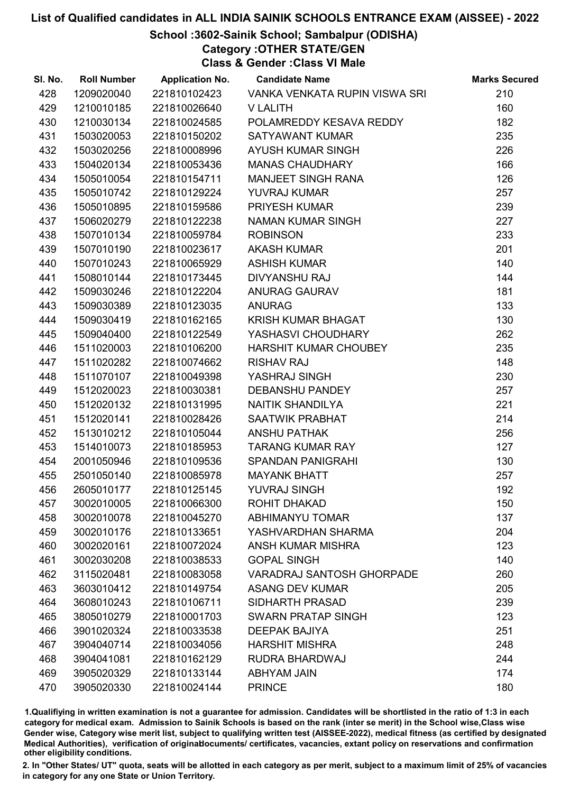#### School :3602-Sainik School; Sambalpur (ODISHA)

Category :OTHER STATE/GEN

Class & Gender :Class VI Male

| SI. No. | <b>Roll Number</b> | <b>Application No.</b> | <b>Candidate Name</b>            | <b>Marks Secured</b> |
|---------|--------------------|------------------------|----------------------------------|----------------------|
| 428     | 1209020040         | 221810102423           | VANKA VENKATA RUPIN VISWA SRI    | 210                  |
| 429     | 1210010185         | 221810026640           | <b>V LALITH</b>                  | 160                  |
| 430     | 1210030134         | 221810024585           | POLAMREDDY KESAVA REDDY          | 182                  |
| 431     | 1503020053         | 221810150202           | <b>SATYAWANT KUMAR</b>           | 235                  |
| 432     | 1503020256         | 221810008996           | AYUSH KUMAR SINGH                | 226                  |
| 433     | 1504020134         | 221810053436           | <b>MANAS CHAUDHARY</b>           | 166                  |
| 434     | 1505010054         | 221810154711           | <b>MANJEET SINGH RANA</b>        | 126                  |
| 435     | 1505010742         | 221810129224           | YUVRAJ KUMAR                     | 257                  |
| 436     | 1505010895         | 221810159586           | PRIYESH KUMAR                    | 239                  |
| 437     | 1506020279         | 221810122238           | <b>NAMAN KUMAR SINGH</b>         | 227                  |
| 438     | 1507010134         | 221810059784           | <b>ROBINSON</b>                  | 233                  |
| 439     | 1507010190         | 221810023617           | <b>AKASH KUMAR</b>               | 201                  |
| 440     | 1507010243         | 221810065929           | <b>ASHISH KUMAR</b>              | 140                  |
| 441     | 1508010144         | 221810173445           | <b>DIVYANSHU RAJ</b>             | 144                  |
| 442     | 1509030246         | 221810122204           | <b>ANURAG GAURAV</b>             | 181                  |
| 443     | 1509030389         | 221810123035           | <b>ANURAG</b>                    | 133                  |
| 444     | 1509030419         | 221810162165           | KRISH KUMAR BHAGAT               | 130                  |
| 445     | 1509040400         | 221810122549           | YASHASVI CHOUDHARY               | 262                  |
| 446     | 1511020003         | 221810106200           | <b>HARSHIT KUMAR CHOUBEY</b>     | 235                  |
| 447     | 1511020282         | 221810074662           | <b>RISHAV RAJ</b>                | 148                  |
| 448     | 1511070107         | 221810049398           | YASHRAJ SINGH                    | 230                  |
| 449     | 1512020023         | 221810030381           | <b>DEBANSHU PANDEY</b>           | 257                  |
| 450     | 1512020132         | 221810131995           | NAITIK SHANDILYA                 | 221                  |
| 451     | 1512020141         | 221810028426           | SAATWIK PRABHAT                  | 214                  |
| 452     | 1513010212         | 221810105044           | <b>ANSHU PATHAK</b>              | 256                  |
| 453     | 1514010073         | 221810185953           | <b>TARANG KUMAR RAY</b>          | 127                  |
| 454     | 2001050946         | 221810109536           | <b>SPANDAN PANIGRAHI</b>         | 130                  |
| 455     | 2501050140         | 221810085978           | <b>MAYANK BHATT</b>              | 257                  |
| 456     | 2605010177         | 221810125145           | <b>YUVRAJ SINGH</b>              | 192                  |
| 457     | 3002010005         | 221810066300           | <b>ROHIT DHAKAD</b>              | 150                  |
| 458     | 3002010078         | 221810045270           | <b>ABHIMANYU TOMAR</b>           | 137                  |
| 459     | 3002010176         | 221810133651           | YASHVARDHAN SHARMA               | 204                  |
| 460     | 3002020161         | 221810072024           | ANSH KUMAR MISHRA                | 123                  |
| 461     | 3002030208         | 221810038533           | <b>GOPAL SINGH</b>               | 140                  |
| 462     | 3115020481         | 221810083058           | <b>VARADRAJ SANTOSH GHORPADE</b> | 260                  |
| 463     | 3603010412         | 221810149754           | <b>ASANG DEV KUMAR</b>           | 205                  |
| 464     | 3608010243         | 221810106711           | <b>SIDHARTH PRASAD</b>           | 239                  |
| 465     | 3805010279         | 221810001703           | <b>SWARN PRATAP SINGH</b>        | 123                  |
| 466     | 3901020324         | 221810033538           | <b>DEEPAK BAJIYA</b>             | 251                  |
| 467     | 3904040714         | 221810034056           | <b>HARSHIT MISHRA</b>            | 248                  |
| 468     | 3904041081         | 221810162129           | RUDRA BHARDWAJ                   | 244                  |
| 469     | 3905020329         | 221810133144           | <b>ABHYAM JAIN</b>               | 174                  |
| 470     | 3905020330         | 221810024144           | <b>PRINCE</b>                    | 180                  |

1.Qualifiying in written examination is not a guarantee for admission. Candidates will be shortlisted in the ratio of 1:3 in each category for medical exam. Admission to Sainik Schools is based on the rank (inter se merit) in the School wise,Class wise Gender wise, Category wise merit list, subject to qualifying written test (AISSEE-2022), medical fitness (as certified by designated Medical Authorities), verification of originablocuments/ certificates, vacancies, extant policy on reservations and confirmation other eligibility conditions.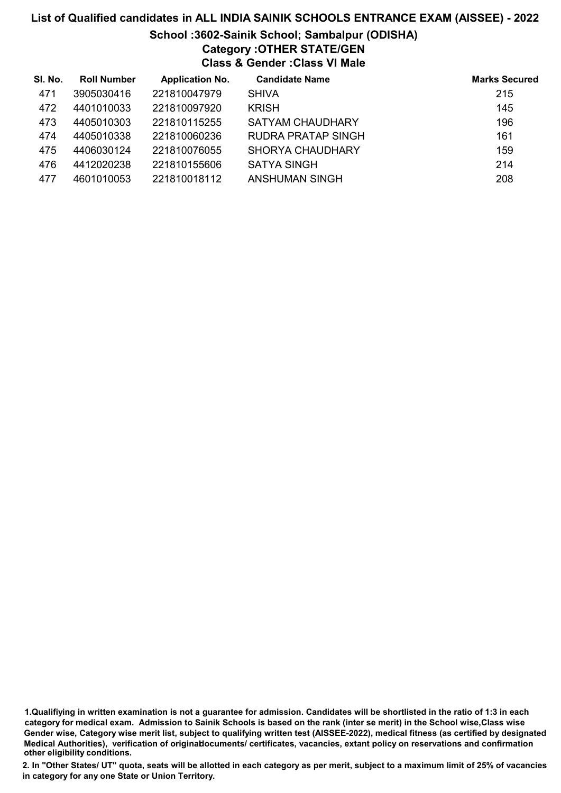## List of Qualified candidates in ALL INDIA SAINIK SCHOOLS ENTRANCE EXAM (AISSEE) - 2022 School :3602-Sainik School; Sambalpur (ODISHA) Category :OTHER STATE/GEN Class & Gender :Class VI Male

| SI. No. | <b>Roll Number</b> | <b>Application No.</b> | <b>Candidate Name</b>   | <b>Marks Secured</b> |
|---------|--------------------|------------------------|-------------------------|----------------------|
| 471     | 3905030416         | 221810047979           | <b>SHIVA</b>            | 215                  |
| 472     | 4401010033         | 221810097920           | <b>KRISH</b>            | 145                  |
| 473     | 4405010303         | 221810115255           | <b>SATYAM CHAUDHARY</b> | 196                  |
| 474     | 4405010338         | 221810060236           | RUDRA PRATAP SINGH      | 161                  |
| 475     | 4406030124         | 221810076055           | <b>SHORYA CHAUDHARY</b> | 159                  |
| 476     | 4412020238         | 221810155606           | <b>SATYA SINGH</b>      | 214                  |
| 477     | 4601010053         | 221810018112           | <b>ANSHUMAN SINGH</b>   | 208                  |

<sup>1.</sup>Qualifiying in written examination is not a guarantee for admission. Candidates will be shortlisted in the ratio of 1:3 in each category for medical exam. Admission to Sainik Schools is based on the rank (inter se merit) in the School wise,Class wise Gender wise, Category wise merit list, subject to qualifying written test (AISSEE-2022), medical fitness (as certified by designated Medical Authorities), verification of originablocuments/ certificates, vacancies, extant policy on reservations and confirmation other eligibility conditions.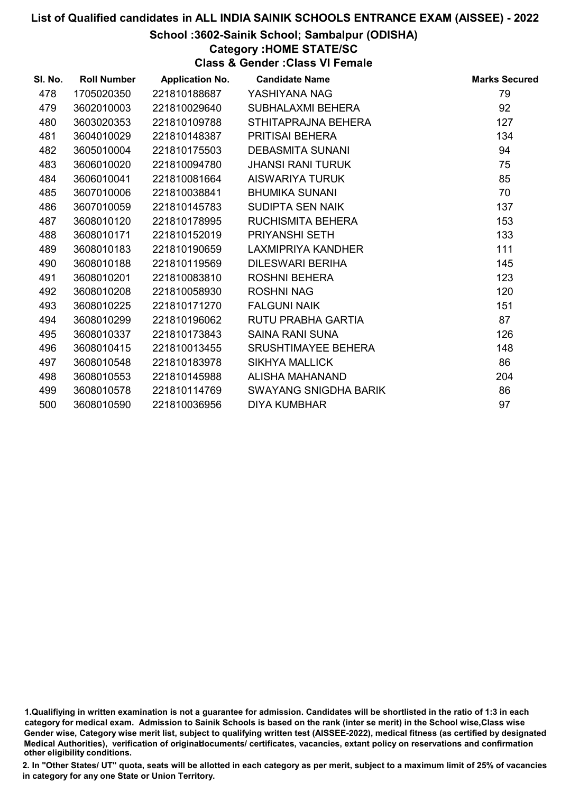#### School :3602-Sainik School; Sambalpur (ODISHA)

Category :HOME STATE/SC

Class & Gender :Class VI Female

| SI. No. | <b>Roll Number</b> | <b>Application No.</b> | <b>Candidate Name</b>        | <b>Marks Secured</b> |
|---------|--------------------|------------------------|------------------------------|----------------------|
| 478     | 1705020350         | 221810188687           | YASHIYANA NAG                | 79                   |
| 479     | 3602010003         | 221810029640           | SUBHALAXMI BEHERA            | 92                   |
| 480     | 3603020353         | 221810109788           | STHITAPRAJNA BEHERA          | 127                  |
| 481     | 3604010029         | 221810148387           | <b>PRITISAI BEHERA</b>       | 134                  |
| 482     | 3605010004         | 221810175503           | <b>DEBASMITA SUNANI</b>      | 94                   |
| 483     | 3606010020         | 221810094780           | <b>JHANSI RANI TURUK</b>     | 75                   |
| 484     | 3606010041         | 221810081664           | AISWARIYA TURUK              | 85                   |
| 485     | 3607010006         | 221810038841           | <b>BHUMIKA SUNANI</b>        | 70                   |
| 486     | 3607010059         | 221810145783           | <b>SUDIPTA SEN NAIK</b>      | 137                  |
| 487     | 3608010120         | 221810178995           | RUCHISMITA BEHERA            | 153                  |
| 488     | 3608010171         | 221810152019           | <b>PRIYANSHI SETH</b>        | 133                  |
| 489     | 3608010183         | 221810190659           | LAXMIPRIYA KANDHER           | 111                  |
| 490     | 3608010188         | 221810119569           | <b>DILESWARI BERIHA</b>      | 145                  |
| 491     | 3608010201         | 221810083810           | <b>ROSHNI BEHERA</b>         | 123                  |
| 492     | 3608010208         | 221810058930           | <b>ROSHNI NAG</b>            | 120                  |
| 493     | 3608010225         | 221810171270           | <b>FALGUNI NAIK</b>          | 151                  |
| 494     | 3608010299         | 221810196062           | RUTU PRABHA GARTIA           | 87                   |
| 495     | 3608010337         | 221810173843           | <b>SAINA RANI SUNA</b>       | 126                  |
| 496     | 3608010415         | 221810013455           | SRUSHTIMAYEE BEHERA          | 148                  |
| 497     | 3608010548         | 221810183978           | <b>SIKHYA MALLICK</b>        | 86                   |
| 498     | 3608010553         | 221810145988           | ALISHA MAHANAND              | 204                  |
| 499     | 3608010578         | 221810114769           | <b>SWAYANG SNIGDHA BARIK</b> | 86                   |
| 500     | 3608010590         | 221810036956           | <b>DIYA KUMBHAR</b>          | 97                   |

1.Qualifiying in written examination is not a guarantee for admission. Candidates will be shortlisted in the ratio of 1:3 in each category for medical exam. Admission to Sainik Schools is based on the rank (inter se merit) in the School wise,Class wise Gender wise, Category wise merit list, subject to qualifying written test (AISSEE-2022), medical fitness (as certified by designated Medical Authorities), verification of originablocuments/ certificates, vacancies, extant policy on reservations and confirmation other eligibility conditions.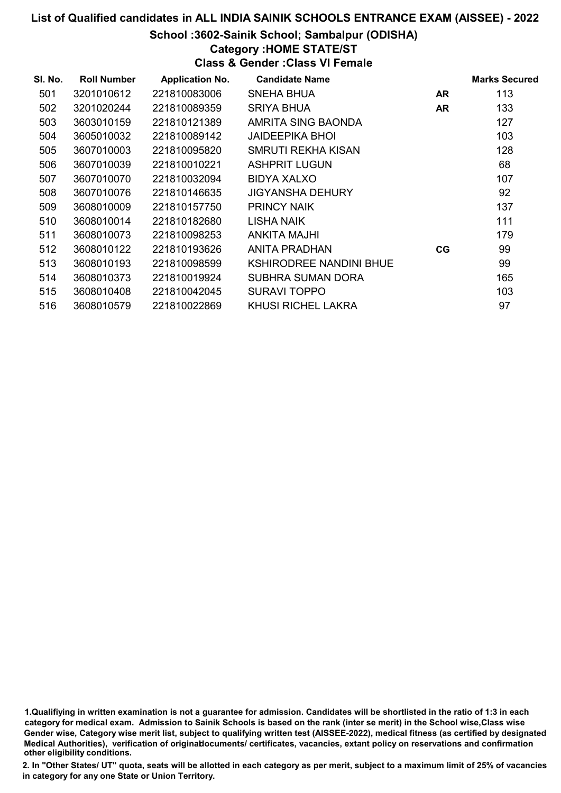### School :3602-Sainik School; Sambalpur (ODISHA)

Category :HOME STATE/ST

Class & Gender :Class VI Female

| SI. No. | <b>Roll Number</b> | <b>Application No.</b> | <b>Candidate Name</b>          |    | <b>Marks Secured</b> |
|---------|--------------------|------------------------|--------------------------------|----|----------------------|
| 501     | 3201010612         | 221810083006           | SNEHA BHUA                     | AR | 113                  |
| 502     | 3201020244         | 221810089359           | SRIYA BHUA                     | AR | 133                  |
| 503     | 3603010159         | 221810121389           | AMRITA SING BAONDA             |    | 127                  |
| 504     | 3605010032         | 221810089142           | JAIDEEPIKA BHOI                |    | 103                  |
| 505     | 3607010003         | 221810095820           | SMRUTI REKHA KISAN             |    | 128                  |
| 506     | 3607010039         | 221810010221           | <b>ASHPRIT LUGUN</b>           |    | 68                   |
| 507     | 3607010070         | 221810032094           | BIDYA XALXO                    |    | 107                  |
| 508     | 3607010076         | 221810146635           | <b>JIGYANSHA DEHURY</b>        |    | 92                   |
| 509     | 3608010009         | 221810157750           | <b>PRINCY NAIK</b>             |    | 137                  |
| 510     | 3608010014         | 221810182680           | LISHA NAIK                     |    | 111                  |
| 511     | 3608010073         | 221810098253           | ANKITA MAJHI                   |    | 179                  |
| 512     | 3608010122         | 221810193626           | ANITA PRADHAN                  | CG | 99                   |
| 513     | 3608010193         | 221810098599           | <b>KSHIRODREE NANDINI BHUE</b> |    | 99                   |
| 514     | 3608010373         | 221810019924           | SUBHRA SUMAN DORA              |    | 165                  |
| 515     | 3608010408         | 221810042045           | <b>SURAVI TOPPO</b>            |    | 103                  |
| 516     | 3608010579         | 221810022869           | <b>KHUSI RICHEL LAKRA</b>      |    | 97                   |

1.Qualifiying in written examination is not a guarantee for admission. Candidates will be shortlisted in the ratio of 1:3 in each category for medical exam. Admission to Sainik Schools is based on the rank (inter se merit) in the School wise,Class wise Gender wise, Category wise merit list, subject to qualifying written test (AISSEE-2022), medical fitness (as certified by designated Medical Authorities), verification of originablocuments/ certificates, vacancies, extant policy on reservations and confirmation other eligibility conditions.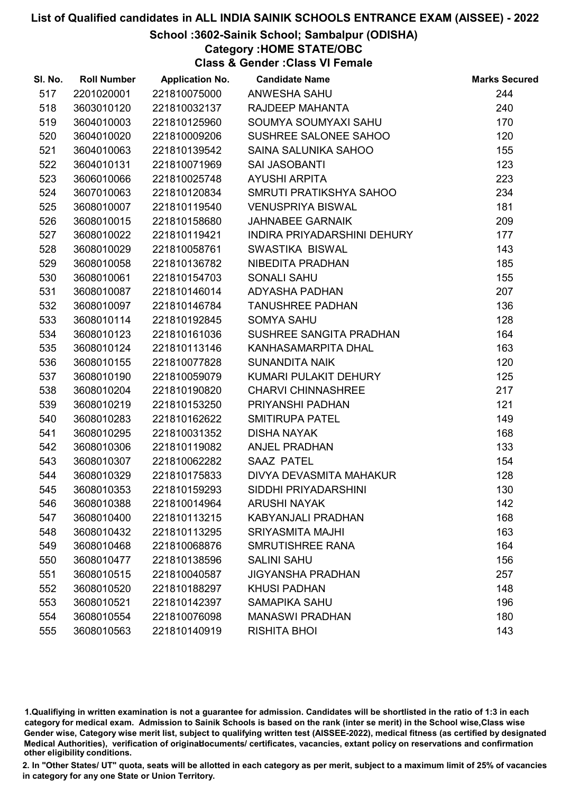## School :3602-Sainik School; Sambalpur (ODISHA)

Category :HOME STATE/OBC

Class & Gender :Class VI Female

| SI. No. | <b>Roll Number</b> | <b>Application No.</b> | <b>Candidate Name</b>       | <b>Marks Secured</b> |
|---------|--------------------|------------------------|-----------------------------|----------------------|
| 517     | 2201020001         | 221810075000           | ANWESHA SAHU                | 244                  |
| 518     | 3603010120         | 221810032137           | RAJDEEP MAHANTA             | 240                  |
| 519     | 3604010003         | 221810125960           | SOUMYA SOUMYAXI SAHU        | 170                  |
| 520     | 3604010020         | 221810009206           | SUSHREE SALONEE SAHOO       | 120                  |
| 521     | 3604010063         | 221810139542           | SAINA SALUNIKA SAHOO        | 155                  |
| 522     | 3604010131         | 221810071969           | <b>SAI JASOBANTI</b>        | 123                  |
| 523     | 3606010066         | 221810025748           | <b>AYUSHI ARPITA</b>        | 223                  |
| 524     | 3607010063         | 221810120834           | SMRUTI PRATIKSHYA SAHOO     | 234                  |
| 525     | 3608010007         | 221810119540           | <b>VENUSPRIYA BISWAL</b>    | 181                  |
| 526     | 3608010015         | 221810158680           | <b>JAHNABEE GARNAIK</b>     | 209                  |
| 527     | 3608010022         | 221810119421           | INDIRA PRIYADARSHINI DEHURY | 177                  |
| 528     | 3608010029         | 221810058761           | SWASTIKA BISWAL             | 143                  |
| 529     | 3608010058         | 221810136782           | NIBEDITA PRADHAN            | 185                  |
| 530     | 3608010061         | 221810154703           | <b>SONALI SAHU</b>          | 155                  |
| 531     | 3608010087         | 221810146014           | <b>ADYASHA PADHAN</b>       | 207                  |
| 532     | 3608010097         | 221810146784           | <b>TANUSHREE PADHAN</b>     | 136                  |
| 533     | 3608010114         | 221810192845           | <b>SOMYA SAHU</b>           | 128                  |
| 534     | 3608010123         | 221810161036           | SUSHREE SANGITA PRADHAN     | 164                  |
| 535     | 3608010124         | 221810113146           | KANHASAMARPITA DHAL         | 163                  |
| 536     | 3608010155         | 221810077828           | <b>SUNANDITA NAIK</b>       | 120                  |
| 537     | 3608010190         | 221810059079           | KUMARI PULAKIT DEHURY       | 125                  |
| 538     | 3608010204         | 221810190820           | <b>CHARVI CHINNASHREE</b>   | 217                  |
| 539     | 3608010219         | 221810153250           | PRIYANSHI PADHAN            | 121                  |
| 540     | 3608010283         | 221810162622           | <b>SMITIRUPA PATEL</b>      | 149                  |
| 541     | 3608010295         | 221810031352           | <b>DISHA NAYAK</b>          | 168                  |
| 542     | 3608010306         | 221810119082           | <b>ANJEL PRADHAN</b>        | 133                  |
| 543     | 3608010307         | 221810062282           | <b>SAAZ PATEL</b>           | 154                  |
| 544     | 3608010329         | 221810175833           | DIVYA DEVASMITA MAHAKUR     | 128                  |
| 545     | 3608010353         | 221810159293           | SIDDHI PRIYADARSHINI        | 130                  |
| 546     | 3608010388         | 221810014964           | <b>ARUSHI NAYAK</b>         | 142                  |
| 547     | 3608010400         | 221810113215           | <b>KABYANJALI PRADHAN</b>   | 168                  |
| 548     | 3608010432         | 221810113295           | <b>SRIYASMITA MAJHI</b>     | 163                  |
| 549     | 3608010468         | 221810068876           | SMRUTISHREE RANA            | 164                  |
| 550     | 3608010477         | 221810138596           | <b>SALINI SAHU</b>          | 156                  |
| 551     | 3608010515         | 221810040587           | <b>JIGYANSHA PRADHAN</b>    | 257                  |
| 552     | 3608010520         | 221810188297           | <b>KHUSI PADHAN</b>         | 148                  |
| 553     | 3608010521         | 221810142397           | <b>SAMAPIKA SAHU</b>        | 196                  |
| 554     | 3608010554         | 221810076098           | <b>MANASWI PRADHAN</b>      | 180                  |
| 555     | 3608010563         | 221810140919           | <b>RISHITA BHOI</b>         | 143                  |

1.Qualifiying in written examination is not a guarantee for admission. Candidates will be shortlisted in the ratio of 1:3 in each category for medical exam. Admission to Sainik Schools is based on the rank (inter se merit) in the School wise,Class wise Gender wise, Category wise merit list, subject to qualifying written test (AISSEE-2022), medical fitness (as certified by designated Medical Authorities), verification of originablocuments/ certificates, vacancies, extant policy on reservations and confirmation other eligibility conditions.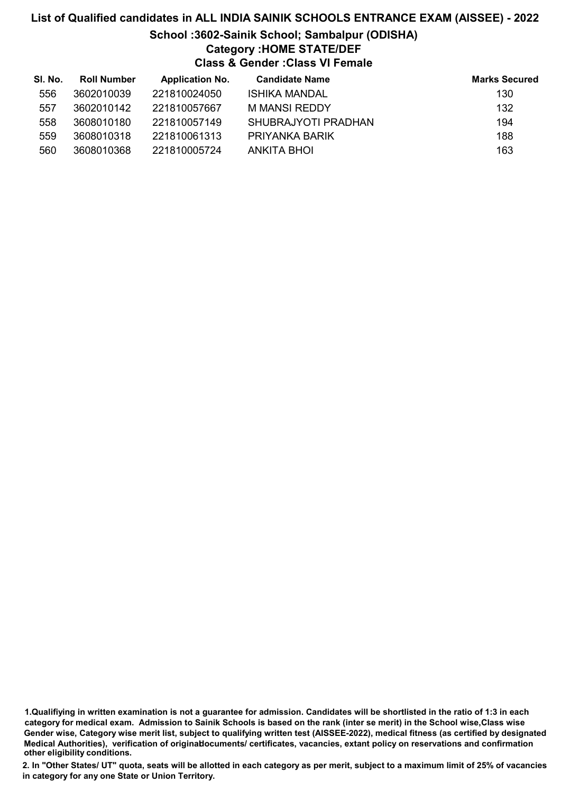# List of Qualified candidates in ALL INDIA SAINIK SCHOOLS ENTRANCE EXAM (AISSEE) - 2022 School :3602-Sainik School; Sambalpur (ODISHA)

# Category :HOME STATE/DEF

Class & Gender :Class VI Female

| SI. No. | <b>Roll Number</b> | <b>Application No.</b> | <b>Candidate Name</b> | <b>Marks Secured</b> |
|---------|--------------------|------------------------|-----------------------|----------------------|
| 556     | 3602010039         | 221810024050           | <b>ISHIKA MANDAL</b>  | 130                  |
| 557     | 3602010142         | 221810057667           | M MANSI REDDY         | 132                  |
| 558     | 3608010180         | 221810057149           | SHUBRAJYOTI PRADHAN   | 194                  |
| 559     | 3608010318         | 221810061313           | PRIYANKA BARIK        | 188                  |
| 560     | 3608010368         | 221810005724           | ANKITA BHOI           | 163                  |

1.Qualifiying in written examination is not a guarantee for admission. Candidates will be shortlisted in the ratio of 1:3 in each category for medical exam. Admission to Sainik Schools is based on the rank (inter se merit) in the School wise,Class wise Gender wise, Category wise merit list, subject to qualifying written test (AISSEE-2022), medical fitness (as certified by designated Medical Authorities), verification of originablocuments/ certificates, vacancies, extant policy on reservations and confirmation other eligibility conditions.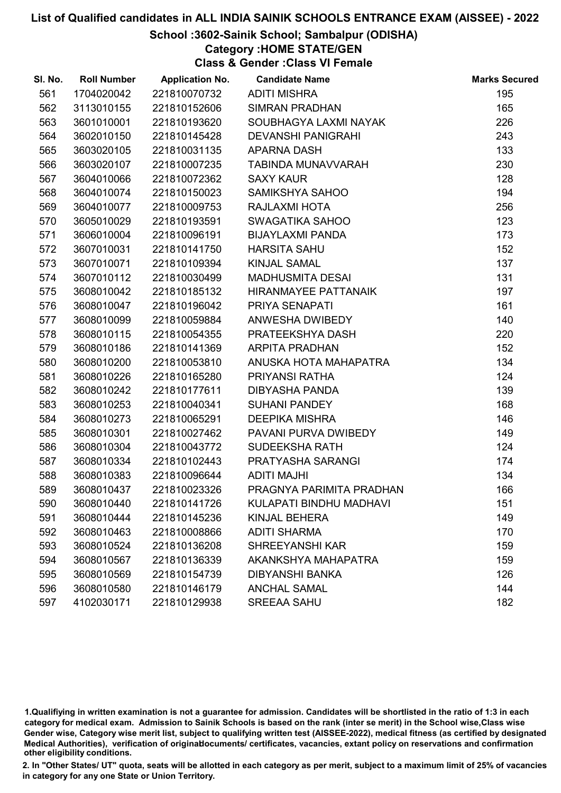## School :3602-Sainik School; Sambalpur (ODISHA)

Category :HOME STATE/GEN

Class & Gender :Class VI Female

| SI. No. | <b>Roll Number</b> | <b>Application No.</b> | <b>Candidate Name</b>     | <b>Marks Secured</b> |
|---------|--------------------|------------------------|---------------------------|----------------------|
| 561     | 1704020042         | 221810070732           | <b>ADITI MISHRA</b>       | 195                  |
| 562     | 3113010155         | 221810152606           | <b>SIMRAN PRADHAN</b>     | 165                  |
| 563     | 3601010001         | 221810193620           | SOUBHAGYA LAXMI NAYAK     | 226                  |
| 564     | 3602010150         | 221810145428           | <b>DEVANSHI PANIGRAHI</b> | 243                  |
| 565     | 3603020105         | 221810031135           | <b>APARNA DASH</b>        | 133                  |
| 566     | 3603020107         | 221810007235           | TABINDA MUNAVVARAH        | 230                  |
| 567     | 3604010066         | 221810072362           | <b>SAXY KAUR</b>          | 128                  |
| 568     | 3604010074         | 221810150023           | SAMIKSHYA SAHOO           | 194                  |
| 569     | 3604010077         | 221810009753           | RAJLAXMI HOTA             | 256                  |
| 570     | 3605010029         | 221810193591           | SWAGATIKA SAHOO           | 123                  |
| 571     | 3606010004         | 221810096191           | <b>BIJAYLAXMI PANDA</b>   | 173                  |
| 572     | 3607010031         | 221810141750           | <b>HARSITA SAHU</b>       | 152                  |
| 573     | 3607010071         | 221810109394           | <b>KINJAL SAMAL</b>       | 137                  |
| 574     | 3607010112         | 221810030499           | <b>MADHUSMITA DESAI</b>   | 131                  |
| 575     | 3608010042         | 221810185132           | HIRANMAYEE PATTANAIK      | 197                  |
| 576     | 3608010047         | 221810196042           | PRIYA SENAPATI            | 161                  |
| 577     | 3608010099         | 221810059884           | ANWESHA DWIBEDY           | 140                  |
| 578     | 3608010115         | 221810054355           | PRATEEKSHYA DASH          | 220                  |
| 579     | 3608010186         | 221810141369           | <b>ARPITA PRADHAN</b>     | 152                  |
| 580     | 3608010200         | 221810053810           | ANUSKA HOTA MAHAPATRA     | 134                  |
| 581     | 3608010226         | 221810165280           | PRIYANSI RATHA            | 124                  |
| 582     | 3608010242         | 221810177611           | <b>DIBYASHA PANDA</b>     | 139                  |
| 583     | 3608010253         | 221810040341           | <b>SUHANI PANDEY</b>      | 168                  |
| 584     | 3608010273         | 221810065291           | <b>DEEPIKA MISHRA</b>     | 146                  |
| 585     | 3608010301         | 221810027462           | PAVANI PURVA DWIBEDY      | 149                  |
| 586     | 3608010304         | 221810043772           | <b>SUDEEKSHA RATH</b>     | 124                  |
| 587     | 3608010334         | 221810102443           | PRATYASHA SARANGI         | 174                  |
| 588     | 3608010383         | 221810096644           | <b>ADITI MAJHI</b>        | 134                  |
| 589     | 3608010437         | 221810023326           | PRAGNYA PARIMITA PRADHAN  | 166                  |
| 590     | 3608010440         | 221810141726           | KULAPATI BINDHU MADHAVI   | 151                  |
| 591     | 3608010444         | 221810145236           | KINJAL BEHERA             | 149                  |
| 592     | 3608010463         | 221810008866           | <b>ADITI SHARMA</b>       | 170                  |
| 593     | 3608010524         | 221810136208           | <b>SHREEYANSHI KAR</b>    | 159                  |
| 594     | 3608010567         | 221810136339           | AKANKSHYA MAHAPATRA       | 159                  |
| 595     | 3608010569         | 221810154739           | <b>DIBYANSHI BANKA</b>    | 126                  |
| 596     | 3608010580         | 221810146179           | <b>ANCHAL SAMAL</b>       | 144                  |
| 597     | 4102030171         | 221810129938           | <b>SREEAA SAHU</b>        | 182                  |

1.Qualifiying in written examination is not a guarantee for admission. Candidates will be shortlisted in the ratio of 1:3 in each category for medical exam. Admission to Sainik Schools is based on the rank (inter se merit) in the School wise,Class wise Gender wise, Category wise merit list, subject to qualifying written test (AISSEE-2022), medical fitness (as certified by designated Medical Authorities), verification of originablocuments/ certificates, vacancies, extant policy on reservations and confirmation other eligibility conditions.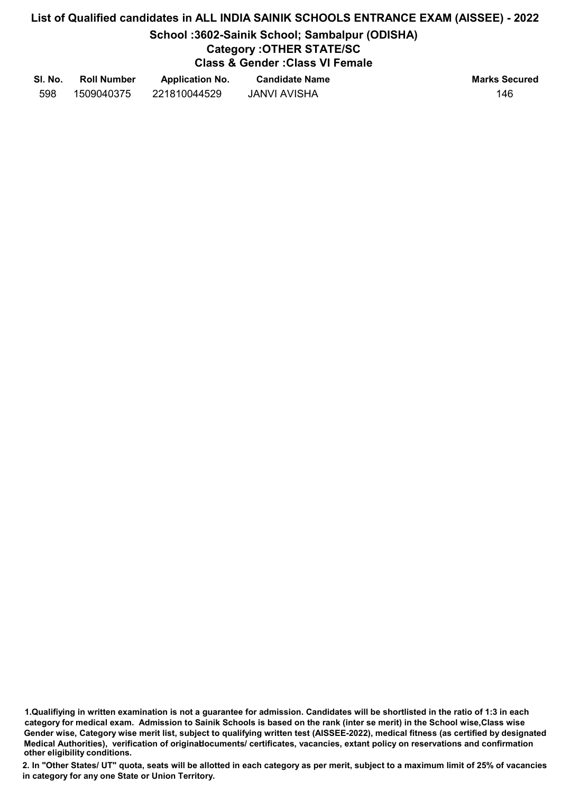# School :3602-Sainik School; Sambalpur (ODISHA)

## Category :OTHER STATE/SC

Class & Gender :Class VI Female

| SI. No. | <b>Roll Number</b> | <b>Application No.</b> | <b>Candidate Name</b> | <b>Marks Secured</b> |
|---------|--------------------|------------------------|-----------------------|----------------------|
| 598     | 1509040375         | 221810044529           | JANVI AVISHA          | 146                  |

1.Qualifiying in written examination is not a guarantee for admission. Candidates will be shortlisted in the ratio of 1:3 in each category for medical exam. Admission to Sainik Schools is based on the rank (inter se merit) in the School wise,Class wise Gender wise, Category wise merit list, subject to qualifying written test (AISSEE-2022), medical fitness (as certified by designated Medical Authorities), verification of originablocuments/ certificates, vacancies, extant policy on reservations and confirmation other eligibility conditions.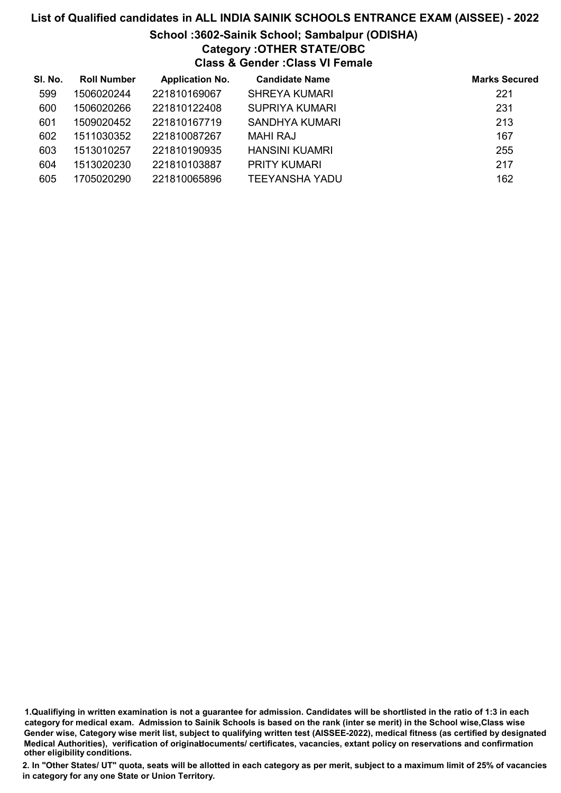## School :3602-Sainik School; Sambalpur (ODISHA) Category :OTHER STATE/OBC Class & Gender :Class VI Female

| SI. No. | <b>Roll Number</b> | <b>Application No.</b> | <b>Candidate Name</b> | <b>Marks Secured</b> |
|---------|--------------------|------------------------|-----------------------|----------------------|
| 599     | 1506020244         | 221810169067           | <b>SHREYA KUMARI</b>  | 221                  |
| 600     | 1506020266         | 221810122408           | <b>SUPRIYA KUMARI</b> | 231                  |
| 601     | 1509020452         | 221810167719           | SANDHYA KUMARI        | 213                  |
| 602     | 1511030352         | 221810087267           | MAHI RAJ              | 167                  |
| 603     | 1513010257         | 221810190935           | <b>HANSINI KUAMRI</b> | 255                  |
| 604     | 1513020230         | 221810103887           | <b>PRITY KUMARI</b>   | 217                  |
| 605     | 1705020290         | 221810065896           | TEEYANSHA YADU        | 162                  |

1.Qualifiying in written examination is not a guarantee for admission. Candidates will be shortlisted in the ratio of 1:3 in each category for medical exam. Admission to Sainik Schools is based on the rank (inter se merit) in the School wise,Class wise Gender wise, Category wise merit list, subject to qualifying written test (AISSEE-2022), medical fitness (as certified by designated Medical Authorities), verification of originablocuments/ certificates, vacancies, extant policy on reservations and confirmation other eligibility conditions.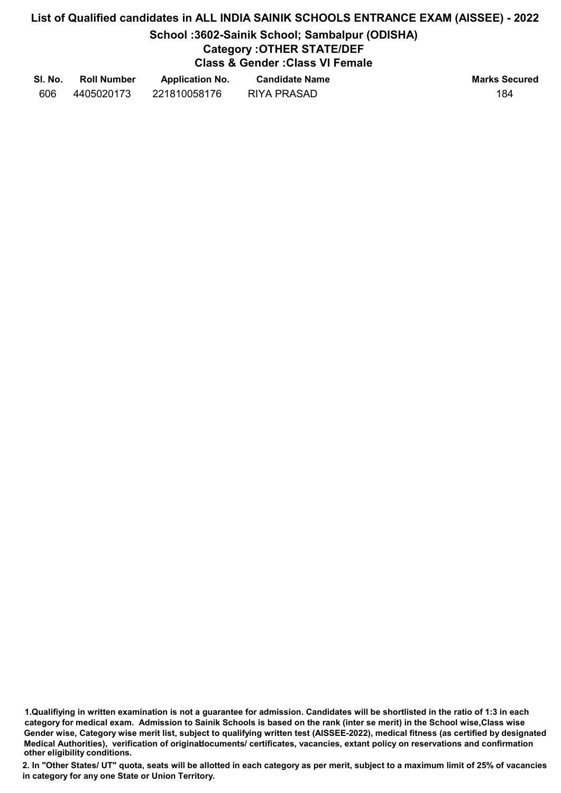# School :3602-Sainik School; Sambalpur (ODISHA)

# Category :OTHER STATE/DEF

Class & Gender :Class VI Female

| SI. No. | <b>Roll Number</b> | <b>Application No.</b> | <b>Candidate Name</b> | <b>Marks Secured</b> |
|---------|--------------------|------------------------|-----------------------|----------------------|
| 606     | 4405020173         | 221810058176           | <b>RIYA PRASAD</b>    | 184                  |

1.Qualifiying in written examination is not a guarantee for admission. Candidates will be shortlisted in the ratio of 1:3 in each category for medical exam. Admission to Sainik Schools is based on the rank (inter se merit) in the School wise,Class wise Gender wise, Category wise merit list, subject to qualifying written test (AISSEE-2022), medical fitness (as certified by designated Medical Authorities), verification of originablocuments/ certificates, vacancies, extant policy on reservations and confirmation other eligibility conditions.